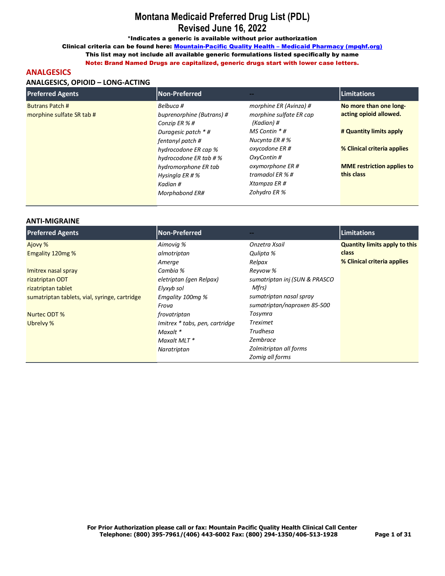\*Indicates a generic is available without prior authorization

Clinical criteria can be found here: Mountain-Pacific Quality Health - Medicaid Pharmacy (mpqhf.org) This list may not include all available generic formulations listed specifically by name

Note: Brand Named Drugs are capitalized, generic drugs start with lower case letters.

## **ANALGESICS**

## ANALGESICS, OPIOID - LONG-ACTING

| <b>Preferred Agents</b>                             | Non-Preferred                                                                                                                                                                                                                           |                                                                                                                                                                                                                 | <b>Limitations</b>                                                                                                                                            |
|-----------------------------------------------------|-----------------------------------------------------------------------------------------------------------------------------------------------------------------------------------------------------------------------------------------|-----------------------------------------------------------------------------------------------------------------------------------------------------------------------------------------------------------------|---------------------------------------------------------------------------------------------------------------------------------------------------------------|
| <b>Butrans Patch #</b><br>morphine sulfate SR tab # | Belbuca #<br>buprenorphine (Butrans) #<br>Conzip ER %#<br>Duragesic patch $*$ #<br>fentanyl patch #<br>hydrocodone ER cap %<br>hydrocodone ER tab # %<br>hydromorphone ER tab<br>Hysingla ER # $%$<br>Kadian #<br><b>Morphabond ER#</b> | morphine ER (Avinza) #<br>morphine sulfate ER cap<br>(Kadian) #<br>MS Contin $*$ #<br>Nucynta ER # $%$<br>oxycodone ER #<br>OxyContin#<br>oxymorphone ER #<br>tramadol ER $%$ #<br>Xtampza ER #<br>Zohydro ER % | No more than one long-<br>acting opioid allowed.<br># Quantity limits apply<br>% Clinical criteria applies<br><b>MME</b> restriction applies to<br>this class |
|                                                     |                                                                                                                                                                                                                                         |                                                                                                                                                                                                                 |                                                                                                                                                               |

#### **ANTI-MIGRAINE**

| <b>Preferred Agents</b>                       | Non-Preferred                  |                               | <b>Limitations</b>                   |
|-----------------------------------------------|--------------------------------|-------------------------------|--------------------------------------|
| Ajovy %                                       | Aimovia %                      | Onzetra Xsail                 | <b>Quantity limits apply to this</b> |
| Emgality 120mg %                              | almotriptan                    | Qulipta %                     | class                                |
|                                               | Amerge                         | Relpax                        | % Clinical criteria applies          |
| Imitrex nasal spray                           | Cambia %                       | Reyvow %                      |                                      |
| rizatriptan ODT                               | eletriptan (gen Relpax)        | sumatriptan inj (SUN & PRASCO |                                      |
| rizatriptan tablet                            | Elyxyb sol                     | Mfrs)                         |                                      |
| sumatriptan tablets, vial, syringe, cartridge | Emgality 100mg %               | sumatriptan nasal spray       |                                      |
|                                               | Frova                          | sumatriptan/naproxen 85-500   |                                      |
| Nurtec ODT %                                  | frovatriptan                   | Tosymra                       |                                      |
| Ubrelvy %                                     | Imitrex * tabs, pen, cartridge | <b>Treximet</b>               |                                      |
|                                               | Maxalt *                       | Trudhesa                      |                                      |
|                                               | Maxalt MLT *                   | Zembrace                      |                                      |
|                                               | Naratriptan                    | Zolmitriptan all forms        |                                      |
|                                               |                                | Zomig all forms               |                                      |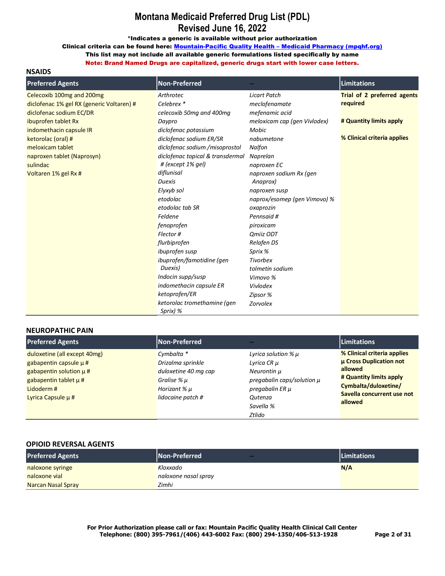\*Indicates a generic is available without prior authorization

Clinical criteria can be found here: Mountain-Pacific Quality Health - Medicaid Pharmacy (mpqhf.org)

This list may not include all available generic formulations listed specifically by name

Note: Brand Named Drugs are capitalized, generic drugs start with lower case letters.

| <b>Preferred Agents</b>                   | <b>Non-Preferred</b>                    |                              | <b>Limitations</b>          |
|-------------------------------------------|-----------------------------------------|------------------------------|-----------------------------|
| Celecoxib 100mg and 200mg                 | Arthrotec                               | <b>Licart Patch</b>          | Trial of 2 preferred agents |
| diclofenac 1% gel RX (generic Voltaren) # | Celebrex*                               | meclofenamate                | required                    |
| diclofenac sodium EC/DR                   | celecoxib 50mg and 400mg                | mefenamic acid               |                             |
| ibuprofen tablet Rx                       | Daypro                                  | meloxicam cap (gen Vivlodex) | # Quantity limits apply     |
| indomethacin capsule IR                   | diclofenac potassium                    | Mobic                        |                             |
| ketorolac (oral) #                        | diclofenac sodium ER/SR                 | nabumetone                   | % Clinical criteria applies |
| meloxicam tablet                          | diclofenac sodium /misoprostol          | Nalfon                       |                             |
| naproxen tablet (Naprosyn)                | diclofenac topical & transdermal        | Naprelan                     |                             |
| sulindac                                  | # (except 1% gel)                       | naproxen EC                  |                             |
| Voltaren 1% gel Rx #                      | diflunisal                              | naproxen sodium Rx (gen      |                             |
|                                           | <b>Duexis</b>                           | Anaprox)                     |                             |
|                                           | Elyxyb sol                              | naproxen susp                |                             |
|                                           | etodolac                                | naprox/esomep (gen Vimovo) % |                             |
|                                           | etodolac tab SR                         | oxaprozin                    |                             |
|                                           | Feldene                                 | Pennsaid #                   |                             |
|                                           | fenoprofen                              | piroxicam                    |                             |
|                                           | Flector#                                | Qmiiz ODT                    |                             |
|                                           | flurbiprofen                            | Relafen DS                   |                             |
|                                           | ibuprofen susp                          | Sprix %                      |                             |
|                                           | ibuprofen/famotidine (gen               | <b>Tivorbex</b>              |                             |
|                                           | Duexis)                                 | tolmetin sodium              |                             |
|                                           | Indocin supp/susp                       | Vimovo %                     |                             |
|                                           | indomethacin capsule ER                 | Vivlodex                     |                             |
|                                           | ketoprofen/ER                           | Zipsor %                     |                             |
|                                           | ketorolac tromethamine (gen<br>Sprix) % | Zorvolex                     |                             |

#### **NEUROPATHIC PAIN**

| <b>Preferred Agents</b>                                                                                                                                       | Non-Preferred                                                                                                   | --                                                                                                                                                     | <b>Limitations</b>                                                                                                                                            |
|---------------------------------------------------------------------------------------------------------------------------------------------------------------|-----------------------------------------------------------------------------------------------------------------|--------------------------------------------------------------------------------------------------------------------------------------------------------|---------------------------------------------------------------------------------------------------------------------------------------------------------------|
| duloxetine (all except 40mg)<br>gabapentin capsule $\mu$ #<br>gabapentin solution $\mu$ #<br>gabapentin tablet $\mu$ #<br>Lidoderm#<br>Lyrica Capsule $\mu$ # | Cymbalta *<br>Drizalma sprinkle<br>duloxetine 40 mg cap<br>Gralise % µ<br>Horizant % $\mu$<br>lidocaine patch # | Lyrica solution $\%$ $\mu$<br>Lyrica CR µ<br>Neurontin µ<br>pregabalin caps/solution $\mu$<br>pregabalin ER µ<br><b>Outenza</b><br>Savella %<br>Ztlido | % Clinical criteria applies<br>µ Cross Duplication not<br>allowed<br># Quantity limits apply<br>Cymbalta/duloxetine/<br>Savella concurrent use not<br>allowed |

#### **OPIOID REVERSAL AGENTS**

| <b>Preferred Agents</b>   | <b>Non-Preferred</b><br>$-$ | <b>Limitations</b> |
|---------------------------|-----------------------------|--------------------|
| naloxone syringe          | Kloxxado                    | N/A                |
| naloxone vial             | naloxone nasal spray        |                    |
| <b>Narcan Nasal Spray</b> | Zimhi                       |                    |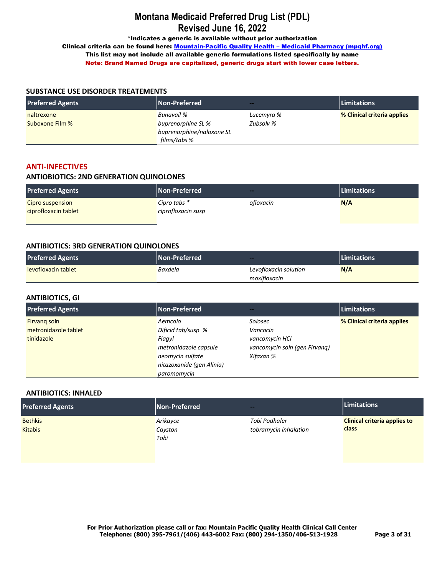\*Indicates a generic is available without prior authorization

Clinical criteria can be found here: Mountain-Pacific Quality Health - Medicaid Pharmacy (mpqhf.org) This list may not include all available generic formulations listed specifically by name Note: Brand Named Drugs are capitalized, generic drugs start with lower case letters.

#### **SUBSTANCE USE DISORDER TREATEMENTS**

| <b>Preferred Agents</b> | Non-Preferred             | --         | <b>Limitations</b>          |
|-------------------------|---------------------------|------------|-----------------------------|
| naltrexone              | <b>Bunavail</b> %         | Lucemyra % | % Clinical criteria applies |
| Suboxone Film %         | buprenorphine SL %        | Zubsolv %  |                             |
|                         | buprenorphine/naloxone SL |            |                             |
|                         | films/tabs %              |            |                             |

### **ANTI-INFECTIVES**

### **ANTIOBIOTICS: 2ND GENERATION QUINOLONES**

| <b>Preferred Agents</b> | <b>Non-Preferred</b> | --        | <b>Limitations</b> |
|-------------------------|----------------------|-----------|--------------------|
| Cipro suspension        | Cipro tabs *         | ofloxacin | N/A                |
| ciprofloxacin tablet    | ciprofloxacin susp   |           |                    |
|                         |                      |           |                    |

#### **ANTIBIOTICS: 3RD GENERATION QUINOLONES**

| <b>Preferred Agents</b> | <b>Non-Preferred</b> | ---                   | <b>Limitations</b> |
|-------------------------|----------------------|-----------------------|--------------------|
| levofloxacin tablet     | Baxdela              | Levofloxacin solution | N/A                |
|                         |                      | moxifloxacin          |                    |

## **ANTIBIOTICS, GI**

| <b>Preferred Agents</b> | Non-Preferred             | $\sim$                        | <b>Limitations</b>          |
|-------------------------|---------------------------|-------------------------------|-----------------------------|
| Firvang soln            | Aemcolo                   | Solosec                       | % Clinical criteria applies |
| metronidazole tablet    | Dificid tab/susp %        | Vancocin                      |                             |
| tinidazole              | Flagyl                    | vancomycin HCl                |                             |
|                         | metronidazole capsule     | vancomycin soln (gen Firvang) |                             |
|                         | neomycin sulfate          | Xifaxan %                     |                             |
|                         | nitazoxanide (gen Alinia) |                               |                             |
|                         | paromomycin               |                               |                             |

#### **ANTIBIOTICS: INHALED**

| <b>Preferred Agents</b> | Non-Preferred   | --                    | <b>Limitations</b>                  |
|-------------------------|-----------------|-----------------------|-------------------------------------|
| <b>Bethkis</b>          | Arikayce        | Tobi Podhaler         | <b>Clinical criteria applies to</b> |
| <b>Kitabis</b>          | Cayston<br>Tobi | tobramycin inhalation | class                               |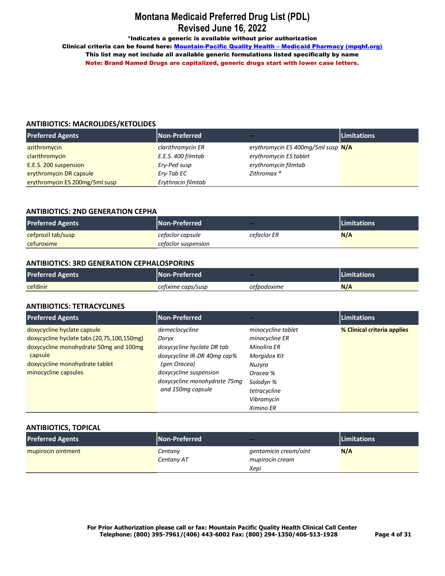\*Indicates a generic is available without prior authorization

Clinical criteria can be found here: Mountain-Pacific Quality Health - Medicaid Pharmacy (mpqhf.org) This list may not include all available generic formulations listed specifically by name Note: Brand Named Drugs are capitalized, generic drugs start with lower case letters.

### **ANTIBIOTICS: MACROLIDES/KETOLIDES**

| <b>Preferred Agents</b>        | <b>Non-Preferred</b> | --                                 | <b>Limitations</b> |
|--------------------------------|----------------------|------------------------------------|--------------------|
| azithromycin                   | clarithromycin ER    | erythromycin ES 400mg/5ml susp N/A |                    |
| clarithromycin                 | E.E.S. 400 filmtab   | erythromycin ES tablet             |                    |
| E.E.S. 200 suspension          | Ery-Ped susp         | erythromycin filmtab               |                    |
| erythromycin DR capsule        | Ery-Tab EC           | Zithromax *                        |                    |
| erythromycin ES 200mg/5ml susp | Erythrocin filmtab   |                                    |                    |

## **ANTIBIOTICS: 2ND GENERATION CEPHA**

| <b>Preferred Agents</b> | <b>INon-Preferred</b> | $-$         | <b>ILimitations</b> |
|-------------------------|-----------------------|-------------|---------------------|
| cefprozil tab/susp      | cefaclor capsule      | cefaclor ER | N/A                 |
| cefuroxime              | cefaclor suspension   |             |                     |

#### **ANTIBIOTICS: 3RD GENERATION CEPHALOSPORINS**

| <b>Preferred Agents</b> | <b>INon-Preferred</b> ' | --          | <b>Limitations</b> |
|-------------------------|-------------------------|-------------|--------------------|
| cefdinir                | cefixime caps/susp      | cefpodoxime | N/A                |

### **ANTIBIOTICS: TETRACYCLINES**

| <b>Preferred Agents</b>                    | Non-Preferred                |                    | Limitations                 |
|--------------------------------------------|------------------------------|--------------------|-----------------------------|
| doxycycline hyclate capsule                | demeclocycline               | minocycline tablet | % Clinical criteria applies |
| doxycycline hyclate tabs (20,75,100,150mg) | Doryx                        | minocycline ER     |                             |
| doxycycline monohydrate 50mg and 100mg     | doxycycline hyclate DR tab   | Minolira ER        |                             |
| capsule                                    | doxycycline IR-DR 40mg cap%  | Morgidox Kit       |                             |
| doxycycline monohydrate tablet             | (gen Oracea)                 | Nuzyra             |                             |
| minocycline capsules                       | doxycycline suspension       | Oracea %           |                             |
|                                            | doxycycline monohydrate 75mg | Solodyn %          |                             |
|                                            | and 150mg capsule            | tetracycline       |                             |
|                                            |                              | Vibramycin         |                             |
|                                            |                              | Ximino ER          |                             |

#### **ANTIBIOTICS, TOPICAL**

| <b>Preferred Agents</b> | Non-Preferred | $-$                   | <b>Limitations</b> |
|-------------------------|---------------|-----------------------|--------------------|
| mupirocin ointment      | Centany       | gentamicin cream/oint | N/A                |
|                         | Centany AT    | mupirocin cream       |                    |
|                         |               | Xepi                  |                    |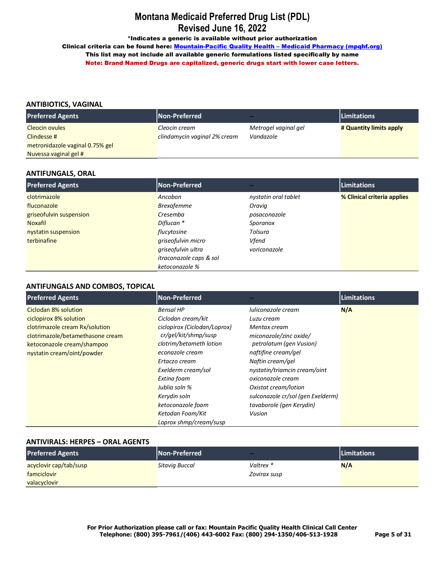\*Indicates a generic is available without prior authorization

Clinical criteria can be found here: Mountain-Pacific Quality Health - Medicaid Pharmacy (mpqhf.org) This list may not include all available generic formulations listed specifically by name Note: Brand Named Drugs are capitalized, generic drugs start with lower case letters.

## **ANTIBIOTICS, VAGINAL**

| <b>Preferred Agents</b>         | <b>Non-Preferred</b>         | $\sim$               | <b>Limitations</b>      |
|---------------------------------|------------------------------|----------------------|-------------------------|
| Cleocin ovules                  | Cleocin cream                | Metrogel vaginal gel | # Quantity limits apply |
| Clindesse #                     | clindamycin vaginal 2% cream | Vandazole            |                         |
| metronidazole vaginal 0.75% gel |                              |                      |                         |
| Nuvessa vaginal gel #           |                              |                      |                         |

#### **ANTIFUNGALS, ORAL**

| <b>Preferred Agents</b> | Non-Preferred           | --                   | Limitations                 |
|-------------------------|-------------------------|----------------------|-----------------------------|
| clotrimazole            | Ancobon                 | nystatin oral tablet | % Clinical criteria applies |
| fluconazole             | <b>Brexafemme</b>       | Oravig               |                             |
| griseofulvin suspension | Cresemba                | posaconazole         |                             |
| <b>Noxafil</b>          | Diflucan *              | Sporanox             |                             |
| nystatin suspension     | flucytosine             | Tolsura              |                             |
| terbinafine             | griseofulvin micro      | Vfend                |                             |
|                         | griseofulvin ultra      | voriconazole         |                             |
|                         | itraconazole caps & sol |                      |                             |
|                         | ketoconazole %          |                      |                             |

### **ANTIFUNGALS AND COMBOS, TOPICAL**

| <b>Preferred Agents</b>          | Non-Preferred                |                                   | Limitations |
|----------------------------------|------------------------------|-----------------------------------|-------------|
| Ciclodan 8% solution             | <b>Bensal HP</b>             | luliconazole cream                | N/A         |
| ciclopirox 8% solution           | Ciclodan cream/kit           | Luzu cream                        |             |
| clotrimazole cream Rx/solution   | ciclopirox (Ciclodan/Loprox) | Mentax cream                      |             |
| clotrimazole/betamethasone cream | cr/gel/kit/shmp/susp         | miconazole/zinc oxide/            |             |
| ketoconazole cream/shampoo       | clotrim/betameth lotion      | petrolatum (gen Vusion)           |             |
| nystatin cream/oint/powder       | econazole cream              | naftifine cream/gel               |             |
|                                  | Ertaczo cream                | Naftin cream/gel                  |             |
|                                  | Exelderm cream/sol           | nystatin/triamcin cream/oint      |             |
|                                  | Extina foam                  | oxiconazole cream                 |             |
|                                  | Jublia soln %                | Oxistat cream/lotion              |             |
|                                  | Kerydin soln                 | sulconazole cr/sol (gen Exelderm) |             |
|                                  | ketoconazole foam            | tavaborole (gen Kerydin)          |             |
|                                  | Ketodan Foam/Kit             | Vusion                            |             |
|                                  | Loprox shmp/cream/susp       |                                   |             |

#### **ANTIVIRALS: HERPES – ORAL AGENTS**

| <b>Preferred Agents</b> | <b>Non-Preferred</b> | $-$          | <b>Limitations</b> |
|-------------------------|----------------------|--------------|--------------------|
| acyclovir cap/tab/susp  | Sitavia Buccal       | Valtrex *    | N/A                |
| famciclovir             |                      | Zovirax susp |                    |
| valacyclovir            |                      |              |                    |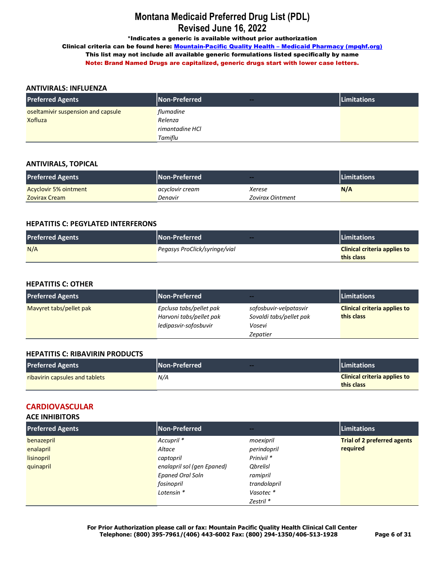\*Indicates a generic is available without prior authorization

Clinical criteria can be found here: Mountain-Pacific Quality Health - Medicaid Pharmacy (mpqhf.org) This list may not include all available generic formulations listed specifically by name Note: Brand Named Drugs are capitalized, generic drugs start with lower case letters.

## **ANTIVIRALS: INFLUENZA**

| <b>Preferred Agents</b>            | Non-Preferred<br>$-$ | <b>Limitations</b> |
|------------------------------------|----------------------|--------------------|
| oseltamivir suspension and capsule | flumadine            |                    |
| Xofluza                            | Relenza              |                    |
|                                    | rimantadine HCl      |                    |
|                                    | Tamiflu              |                    |

## **ANTIVIRALS, TOPICAL**

| <b>Preferred Agents</b>      | <b>Non-Preferred</b> | $-$              | <b>ILimitations</b> |
|------------------------------|----------------------|------------------|---------------------|
| <b>Acyclovir 5% ointment</b> | acyclovir cream      | Xerese           | N/A                 |
| Zovirax Cream                | Denavir              | Zovirax Ointment |                     |

### **HEPATITIS C: PEGYLATED INTERFERONS**

| <b>Preferred Agents</b> | Non-Preferred<br>--           | <b>Limitations</b>                  |
|-------------------------|-------------------------------|-------------------------------------|
| N/A                     | Pegasys ProClick/syringe/vial | <b>Clinical criteria applies to</b> |
|                         |                               | this class                          |

## **HEPATITIS C: OTHER**

| <b>Preferred Agents</b> | Non-Preferred                                      | --                                                | <b>Limitations</b>                                |
|-------------------------|----------------------------------------------------|---------------------------------------------------|---------------------------------------------------|
| Mavyret tabs/pellet pak | Epclusa tabs/pellet pak<br>Harvoni tabs/pellet pak | sofosbuvir-velpatasvir<br>Sovaldi tabs/pellet pak | <b>Clinical criteria applies to</b><br>this class |
|                         | ledipasvir-sofosbuvir                              | Vosevi                                            |                                                   |
|                         |                                                    | Zepatier                                          |                                                   |

#### **HEPATITIS C: RIBAVIRIN PRODUCTS**

| <b>Preferred Agents</b>               | <b>Non-Preferred</b> | <b>Limitations</b>                  |
|---------------------------------------|----------------------|-------------------------------------|
| <b>ribavirin capsules and tablets</b> | N/A                  | <b>Clinical criteria applies to</b> |
|                                       |                      | this class                          |

## **CARDIOVASCULAR**

## **ACE INHIBITORS**

| <b>Preferred Agents</b> | Non-Preferred              | --                    | Limitations                        |
|-------------------------|----------------------------|-----------------------|------------------------------------|
| benazepril              | Accupril <sup>*</sup>      | moexipril             | <b>Trial of 2 preferred agents</b> |
| enalapril               | Altace                     | perindopril           | required                           |
| lisinopril              | captopril                  | Prinivil <sup>*</sup> |                                    |
| quinapril               | enalapril sol (gen Epaned) | <b>Qbrelisl</b>       |                                    |
|                         | <b>Epaned Oral Soln</b>    | ramipril              |                                    |
|                         | fosinopril                 | trandolapril          |                                    |
|                         | Lotensin *                 | Vasotec*              |                                    |
|                         |                            | Zestril *             |                                    |

**For Prior Authorization please call or fax: Mountain Pacific Quality Health Clinical Call Center Telephone: (800) 395-7961/(406) 443-6002 Fax: (800) 294-1350/406-513-1928 Page 6 of 31**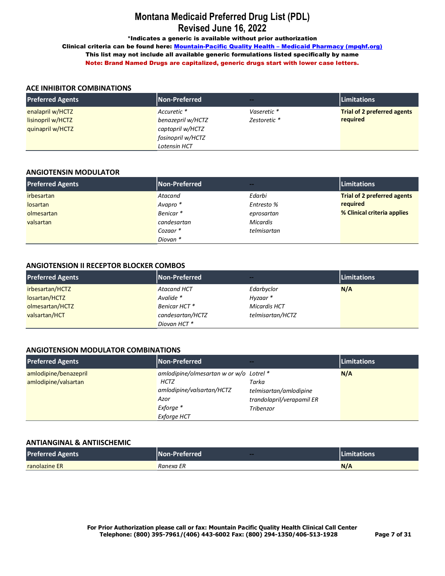\*Indicates a generic is available without prior authorization

Clinical criteria can be found here: Mountain-Pacific Quality Health - Medicaid Pharmacy (mpqhf.org) This list may not include all available generic formulations listed specifically by name Note: Brand Named Drugs are capitalized, generic drugs start with lower case letters.

### **ACE INHIBITOR COMBINATIONS**

| <b>Preferred Agents</b> | <b>Non-Preferred</b> | <b>Service</b> | <b>Limitations</b>                 |
|-------------------------|----------------------|----------------|------------------------------------|
| enalapril w/HCTZ        | Accuretic *          | Vaseretic *    | <b>Trial of 2 preferred agents</b> |
| lisinopril w/HCTZ       | benazepril w/HCTZ    | Zestoretic *   | required                           |
| quinapril w/HCTZ        | captopril w/HCTZ     |                |                                    |
|                         | fosinopril w/HCTZ    |                |                                    |
|                         | Lotensin HCT         |                |                                    |

#### **ANGIOTENSIN MODULATOR**

| <b>Preferred Agents</b> | <b>Non-Preferred</b> | --              | <b>Limitations</b>                 |
|-------------------------|----------------------|-----------------|------------------------------------|
| <i>irbesartan</i>       | Atacand              | Edarbi          | <b>Trial of 2 preferred agents</b> |
| losartan                | Avapro *             | Entresto %      | required                           |
| olmesartan              | Benicar <sup>*</sup> | eprosartan      | % Clinical criteria applies        |
| valsartan               | candesartan          | <b>Micardis</b> |                                    |
|                         | Cozaar*              | telmisartan     |                                    |
|                         | Diovan *             |                 |                                    |

#### **ANGIOTENSION II RECEPTOR BLOCKER COMBOS**

| <b>Preferred Agents</b> | Non-Preferred      | --                  | <b>Limitations</b> |
|-------------------------|--------------------|---------------------|--------------------|
| irbesartan/HCTZ         | <b>Atacand HCT</b> | Edarbyclor          | N/A                |
| losartan/HCTZ           | Avalide *          | Hyzaar*             |                    |
| olmesartan/HCTZ         | Benicar HCT *      | <b>Micardis HCT</b> |                    |
| valsartan/HCT           | candesartan/HCTZ   | telmisartan/HCTZ    |                    |
|                         | Diovan HCT*        |                     |                    |

#### **ANGIOTENSION MODULATOR COMBINATIONS**

| <b>Preferred Agents</b> | Non-Preferred                           | --                        | Limitations |
|-------------------------|-----------------------------------------|---------------------------|-------------|
| amlodipine/benazepril   | amlodipine/olmesartan w or w/o Lotrel * |                           | N/A         |
| amlodipine/valsartan    | HCTZ                                    | Tarka                     |             |
|                         | amlodipine/valsartan/HCTZ               | telmisartan/amlodipine    |             |
|                         | Azor                                    | trandolapril/verapamil ER |             |
|                         | Exforge *                               | Tribenzor                 |             |
|                         | Exforge HCT                             |                           |             |

#### **ANTIANGINAL & ANTIISCHEMIC**

| <b>Preferred Agents</b> | <b>INon-Preferred</b><br>-- | <b>Limitations</b> |
|-------------------------|-----------------------------|--------------------|
| <b>ranolazine ER</b>    | Ranexa ER                   | N/A                |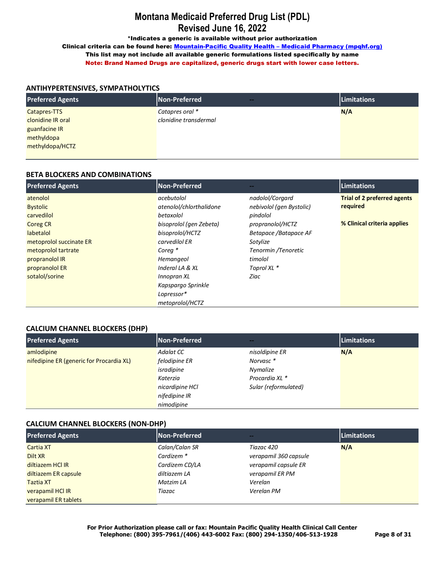\*Indicates a generic is available without prior authorization

Clinical criteria can be found here: Mountain-Pacific Quality Health - Medicaid Pharmacy (mpqhf.org) This list may not include all available generic formulations listed specifically by name Note: Brand Named Drugs are capitalized, generic drugs start with lower case letters.

### **ANTIHYPERTENSIVES, SYMPATHOLYTICS**

| <b>Preferred Agents</b> | Non-Preferred<br>$\sim$ | Limitations |
|-------------------------|-------------------------|-------------|
| Catapres-TTS            | Catapres oral *         | N/A         |
| clonidine IR oral       | clonidine transdermal   |             |
| guanfacine IR           |                         |             |
| methyldopa              |                         |             |
| methyldopa/HCTZ         |                         |             |
|                         |                         |             |

### **BETA BLOCKERS AND COMBINATIONS**

| <b>Preferred Agents</b> | <b>Non-Preferred</b>    |                          | <b>Limitations</b>                 |
|-------------------------|-------------------------|--------------------------|------------------------------------|
| atenolol                | acebutolol              | nadolol/Corgard          | <b>Trial of 2 preferred agents</b> |
| <b>Bystolic</b>         | atenolol/chlorthalidone | nebivolol (gen Bystolic) | required                           |
| carvedilol              | betaxolol               | pindolol                 |                                    |
| <b>Coreg CR</b>         | bisoprolol (gen Zebeta) | propranolol/HCTZ         | % Clinical criteria applies        |
| labetalol               | bisoprolol/HCTZ         | Betapace / Batapace AF   |                                    |
| metoprolol succinate ER | carvedilol ER           | Sotylize                 |                                    |
| metoprolol tartrate     | Corea <sup>*</sup>      | Tenormin /Tenoretic      |                                    |
| propranolol IR          | Hemangeol               | timolol                  |                                    |
| propranolol ER          | Inderal LA & XL         | Toprol XL *              |                                    |
| sotalol/sorine          | Innopran XL             | Ziac                     |                                    |
|                         | Kapspargo Sprinkle      |                          |                                    |
|                         | Lopressor*              |                          |                                    |
|                         | metoprolol/HCTZ         |                          |                                    |

## **CALCIUM CHANNEL BLOCKERS (DHP)**

| <b>Preferred Agents</b>                  | Non-Preferred   | $\sim$               | Limitations |
|------------------------------------------|-----------------|----------------------|-------------|
| amlodipine                               | Adalat CC       | nisoldipine ER       | N/A         |
| nifedipine ER (generic for Procardia XL) | felodipine ER   | Norvasc*             |             |
|                                          | isradipine      | Nymalize             |             |
|                                          | Katerzia        | Procardia XL *       |             |
|                                          | nicardipine HCl | Sular (reformulated) |             |
|                                          | nifedipine IR   |                      |             |
|                                          | nimodipine      |                      |             |

## **CALCIUM CHANNEL BLOCKERS (NON-DHP)**

| <b>Preferred Agents</b> | Non-Preferred         | $-1$                  | Limitations |
|-------------------------|-----------------------|-----------------------|-------------|
| <b>Cartia XT</b>        | Calan/Calan SR        | Tiazac 420            | N/A         |
| Dilt XR                 | Cardizem <sup>*</sup> | verapamil 360 capsule |             |
| diltiazem HCl IR        | Cardizem CD/LA        | verapamil capsule ER  |             |
| diltiazem ER capsule    | diltiazem LA          | verapamil ER PM       |             |
| <b>Taztia XT</b>        | Matzim LA             | Verelan               |             |
| verapamil HCl IR        | Tiazac                | Verelan PM            |             |
| verapamil ER tablets    |                       |                       |             |

**For Prior Authorization please call or fax: Mountain Pacific Quality Health Clinical Call Center Telephone: (800) 395-7961/(406) 443-6002 Fax: (800) 294-1350/406-513-1928 Page 8 of 31**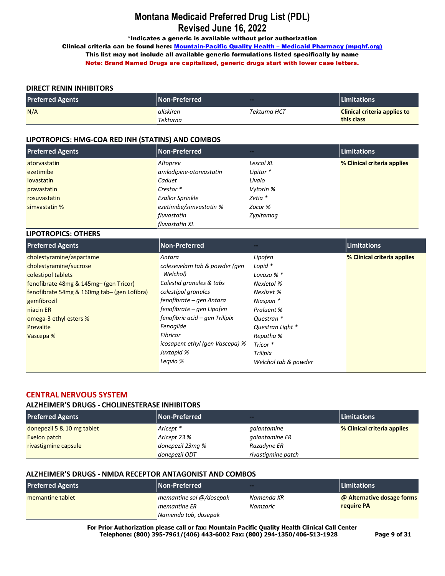\*Indicates a generic is available without prior authorization

Clinical criteria can be found here: Mountain-Pacific Quality Health - Medicaid Pharmacy (mpqhf.org) This list may not include all available generic formulations listed specifically by name Note: Brand Named Drugs are capitalized, generic drugs start with lower case letters.

## **DIRECT RENIN INHIBITORS**

**LIPOTROPICS: OTHERS**

| <b>Preferred Agents</b> | <b>Non-Preferred</b> | $-$          | <b>ILimitations</b>                 |
|-------------------------|----------------------|--------------|-------------------------------------|
| N/A                     | aliskiren            | Tekturna HCT | <b>Clinical criteria applies to</b> |
|                         | <b>Tekturna</b>      |              | this class                          |

### **LIPOTROPICS: HMG-COA RED INH (STATINS) AND COMBOS**

| <b>Preferred Agents</b> | Non-Preferred           | $-1$      | <b>Limitations</b>          |
|-------------------------|-------------------------|-----------|-----------------------------|
| atorvastatin            | Altoprev                | Lescol XL | % Clinical criteria applies |
| ezetimibe               | amlodipine-atorvastatin | Lipitor * |                             |
| <b>lovastatin</b>       | Caduet                  | Livalo    |                             |
| pravastatin             | Crestor *               | Vytorin % |                             |
| rosuvastatin            | <b>Ezallor Sprinkle</b> | Zetia *   |                             |
| simvastatin %           | ezetimibe/simvastatin % | Zocor %   |                             |
|                         | fluvastatin             | Zypitamag |                             |
|                         | fluvastatin XL          |           |                             |

| <b>Preferred Agents</b>                     | Non-Preferred                   |                      | Limitations                 |
|---------------------------------------------|---------------------------------|----------------------|-----------------------------|
| cholestyramine/aspartame                    | Antara                          | Lipofen              | % Clinical criteria applies |
| cholestyramine/sucrose                      | colesevelam tab & powder (gen   | Lopid $*$            |                             |
| colestipol tablets                          | Welchol)                        | Lovaza % *           |                             |
| fenofibrate 48mg & 145mg- (gen Tricor)      | Colestid granules & tabs        | Nexletol %           |                             |
| fenofibrate 54mg & 160mg tab- (gen Lofibra) | colestipol granules             | Nexlizet %           |                             |
| gemfibrozil                                 | fenofibrate – gen Antara        | Niaspan *            |                             |
| niacin ER                                   | fenofibrate – gen Lipofen       | Praluent %           |                             |
| omega-3 ethyl esters %                      | fenofibric acid – gen Trilipix  | Questran *           |                             |
| Prevalite                                   | Fenoglide                       | Questran Light *     |                             |
| Vascepa %                                   | Fibricor                        | Repatha %            |                             |
|                                             | icosapent ethyl (gen Vascepa) % | Tricor *             |                             |
|                                             | Juxtapid %                      | Trilipix             |                             |
|                                             | Legvio %                        | Welchol tab & powder |                             |

### **CENTRAL NERVOUS SYSTEM**

#### **ALZHEIMER'S DRUGS - CHOLINESTERASE INHIBITORS**

| <b>Preferred Agents</b>    | <b>Non-Preferred</b> | <b><i><u>Parts</u></i></b> | <b>Limitations</b>          |
|----------------------------|----------------------|----------------------------|-----------------------------|
| donepezil 5 & 10 mg tablet | Aricept *            | galantamine                | % Clinical criteria applies |
| Exelon patch               | Aricept 23 %         | galantamine ER             |                             |
| rivastigmine capsule       | donepezil 23mg %     | Razadyne ER                |                             |
|                            | donepezil ODT        | rivastigmine patch         |                             |

#### **ALZHEIMER'S DRUGS - NMDA RECEPTOR ANTAGONIST AND COMBOS**

| <b>Preferred Agents</b> | <b>Non-Preferred</b>                    | $\sim$                 | <b>Limitations</b>                       |
|-------------------------|-----------------------------------------|------------------------|------------------------------------------|
| memantine tablet        | memantine sol @/dosepak<br>memantine ER | Namenda XR<br>Namzaric | @ Alternative dosage forms<br>require PA |
|                         | Namenda tab, dosepak                    |                        |                                          |

**For Prior Authorization please call or fax: Mountain Pacific Quality Health Clinical Call Center Telephone: (800) 395-7961/(406) 443-6002 Fax: (800) 294-1350/406-513-1928 Page 9 of 31**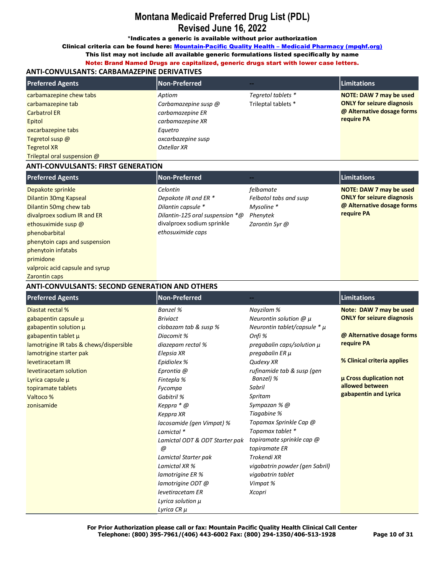\*Indicates a generic is available without prior authorization

Clinical criteria can be found here: Mountain-Pacific Quality Health - Medicaid Pharmacy (mpqhf.org)

This list may not include all available generic formulations listed specifically by name

Note: Brand Named Drugs are capitalized, generic drugs start with lower case letters.

## **ANTI-CONVULSANTS: CARBAMAZEPINE DERIVATIVES**

| <b>Preferred Agents</b>                                                                    | Non-Preferred                                                          |                                           | <b>Limitations</b>                                                                                       |
|--------------------------------------------------------------------------------------------|------------------------------------------------------------------------|-------------------------------------------|----------------------------------------------------------------------------------------------------------|
| carbamazepine chew tabs<br>carbamazepine tab<br><b>Carbatrol ER</b><br>Epitol              | Aptiom<br>Carbamazepine susp @<br>carbamazepine ER<br>carbamazepine XR | Tegretol tablets *<br>Trileptal tablets * | NOTE: DAW 7 may be used<br><b>ONLY for seizure diagnosis</b><br>@ Alternative dosage forms<br>require PA |
| oxcarbazepine tabs<br>Tegretol susp @<br><b>Tegretol XR</b><br>Trileptal oral suspension @ | Equetro<br>oxcarbazepine susp<br>Oxtellar XR                           |                                           |                                                                                                          |

### **ANTI-CONVULSANTS: FIRST GENERATION**

| <b>Preferred Agents</b>         | Non-Preferred                      |                        | Limitations                       |
|---------------------------------|------------------------------------|------------------------|-----------------------------------|
| Depakote sprinkle               | Celontin                           | felbamate              | NOTE: DAW 7 may be used           |
| Dilantin 30mg Kapseal           | Depakote IR and ER *               | Felbatol tabs and susp | <b>ONLY for seizure diagnosis</b> |
| Dilantin 50mg chew tab          | Dilantin capsule *                 | Mysoline *             | @ Alternative dosage forms        |
| divalproex sodium IR and ER     | Dilantin-125 oral suspension $*$ @ | Phenytek               | require PA                        |
| ethosuximide susp @             | divalproex sodium sprinkle         | Zarontin Syr @         |                                   |
| phenobarbital                   | ethosuximide caps                  |                        |                                   |
| phenytoin caps and suspension   |                                    |                        |                                   |
| phenytoin infatabs              |                                    |                        |                                   |
| primidone                       |                                    |                        |                                   |
| valproic acid capsule and syrup |                                    |                        |                                   |
| Zarontin caps                   |                                    |                        |                                   |

**ANTI-CONVULSANTS: SECOND GENERATION AND OTHERS**

| <b>Preferred Agents</b>                 | Non-Preferred                  |                                  | <b>Limitations</b>                |
|-----------------------------------------|--------------------------------|----------------------------------|-----------------------------------|
| Diastat rectal %                        | Banzel %                       | Nayzilam %                       | Note: DAW 7 may be used           |
| gabapentin capsule µ                    | <b>Briviact</b>                | Neurontin solution $@$ $\mu$     | <b>ONLY for seizure diagnosis</b> |
| gabapentin solution $\mu$               | clobazam tab & susp %          | Neurontin tablet/capsule $* \mu$ |                                   |
| gabapentin tablet µ                     | Diacomit %                     | Onfi %                           | @ Alternative dosage forms        |
| lamotrigine IR tabs & chews/dispersible | diazepam rectal %              | pregabalin caps/solution $\mu$   | require PA                        |
| lamotrigine starter pak                 | Elepsia XR                     | pregabalin ER µ                  |                                   |
| levetiracetam IR                        | Epidiolex %                    | Qudexy XR                        | % Clinical criteria applies       |
| levetiracetam solution                  | Eprontia @                     | rufinamide tab & susp (gen       |                                   |
| Lyrica capsule $\mu$                    | Fintepla %                     | Banzel) %                        | <b>µ Cross duplication not</b>    |
| topiramate tablets                      | Fycompa                        | Sabril                           | allowed between                   |
| Valtoco %                               | Gabitril %                     | Spritam                          | gabapentin and Lyrica             |
| zonisamide                              | Keppra * @                     | Sympazan % @                     |                                   |
|                                         | Keppra XR                      | Tiagabine %                      |                                   |
|                                         | lacosamide (gen Vimpat) %      | Topamax Sprinkle Cap @           |                                   |
|                                         | Lamictal *                     | Topamax tablet *                 |                                   |
|                                         | Lamictal ODT & ODT Starter pak | topiramate sprinkle cap @        |                                   |
|                                         | @                              | topiramate ER                    |                                   |
|                                         | Lamictal Starter pak           | Trokendi XR                      |                                   |
|                                         | Lamictal XR %                  | vigabatrin powder (gen Sabril)   |                                   |
|                                         | lamotrigine ER %               | vigabatrin tablet                |                                   |
|                                         | lamotrigine ODT @              | Vimpat %                         |                                   |
|                                         | levetiracetam ER               | Xcopri                           |                                   |
|                                         | Lyrica solution $\mu$          |                                  |                                   |
|                                         | Lyrica CR $\mu$                |                                  |                                   |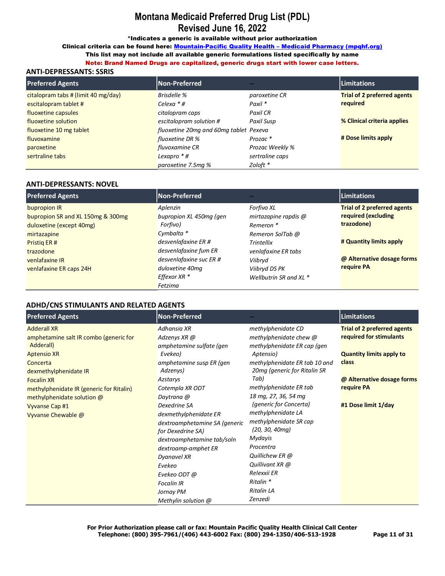\*Indicates a generic is available without prior authorization

Clinical criteria can be found here: Mountain-Pacific Quality Health - Medicaid Pharmacy (mpqhf.org)

This list may not include all available generic formulations listed specifically by name

Note: Brand Named Drugs are capitalized, generic drugs start with lower case letters.

## **ANTI-DEPRESSANTS: SSRIS**

| <b>Preferred Agents</b>             | Non-Preferred                          | --                  | <b>Limitations</b>                 |
|-------------------------------------|----------------------------------------|---------------------|------------------------------------|
| citalopram tabs # (limit 40 mg/day) | Brisdelle %                            | paroxetine CR       | <b>Trial of 2 preferred agents</b> |
| escitalopram tablet #               | Celexa $*$ #                           | Paxil *             | required                           |
| fluoxetine capsules                 | citalopram caps                        | Paxil CR            |                                    |
| fluoxetine solution                 | escitalopram solution #                | Paxil Susp          | % Clinical criteria applies        |
| fluoxetine 10 mg tablet             | fluoxetine 20mg and 60mg tablet Pexeva |                     |                                    |
| fluvoxamine                         | fluoxetine DR %                        | Prozac <sup>*</sup> | # Dose limits apply                |
| paroxetine                          | fluvoxamine CR                         | Prozac Weekly %     |                                    |
| sertraline tabs                     | Lexapro $*$ #                          | sertraline caps     |                                    |
|                                     | paroxetine 7.5mg %                     | Zoloft *            |                                    |

#### **ANTI-DEPRESSANTS: NOVEL**

| <b>Preferred Agents</b>                           | <b>Non-Preferred</b>                | --                                 | <b>Limitations</b>                                        |
|---------------------------------------------------|-------------------------------------|------------------------------------|-----------------------------------------------------------|
| bupropion IR<br>bupropion SR and XL 150mg & 300mg | Aplenzin<br>bupropion XL 450mg (gen | Forfivo XL<br>mirtazapine rapdis @ | <b>Trial of 2 preferred agents</b><br>required (excluding |
| duloxetine (except 40mg)                          | Forfivo)                            | Remeron *                          | trazodone)                                                |
| mirtazapine                                       | Cymbalta *                          | Remeron SolTab @                   |                                                           |
| Pristig ER#                                       | desvenlafaxine ER #                 | <b>Trintellix</b>                  | # Quantity limits apply                                   |
| trazodone                                         | desvenlafaxine fum ER               | venlafaxine ER tabs                |                                                           |
| venlafaxine IR                                    | desvenlafaxine suc ER #             | Viibrvd                            | @ Alternative dosage forms                                |
| venlafaxine ER caps 24H                           | duloxetine 40mg                     | Viibryd DS PK                      | require PA                                                |
|                                                   | Effexor XR *                        | Wellbutrin SR and XL $*$           |                                                           |
|                                                   | Fetzima                             |                                    |                                                           |

#### **ADHD/CNS STIMULANTS AND RELATED AGENTS**

| <b>Preferred Agents</b>                  | Non-Preferred                 |                               | <b>Limitations</b>                 |
|------------------------------------------|-------------------------------|-------------------------------|------------------------------------|
| <b>Adderall XR</b>                       | Adhansia XR                   | methylphenidate CD            | <b>Trial of 2 preferred agents</b> |
| amphetamine salt IR combo (generic for   | Adzenys XR @                  | methylphenidate chew @        | required for stimulants            |
| Adderall)                                | amphetamine sulfate (gen      | methylphenidate ER cap (gen   |                                    |
| <b>Aptensio XR</b>                       | Evekeo)                       | Aptensio)                     | <b>Quantity limits apply to</b>    |
| Concerta                                 | amphetamine susp ER (gen      | methylphenidate ER tab 10 and | class                              |
| dexmethylphenidate IR                    | Adzenys)                      | 20mg (generic for Ritalin SR  |                                    |
| <b>Focalin XR</b>                        | Azstarys                      | Tab)                          | @ Alternative dosage forms         |
| methylphenidate IR (generic for Ritalin) | Cotempla XR ODT               | methylphenidate ER tab        | require PA                         |
| methylphenidate solution @               | Daytrana @                    | 18 mg, 27, 36, 54 mg          |                                    |
| Vyvanse Cap #1                           | Dexedrine SA                  | <i>(generic for Concerta)</i> | #1 Dose limit 1/day                |
| Vyvanse Chewable @                       | dexmethylphenidate ER         | methylphenidate LA            |                                    |
|                                          | dextroamphetamine SA (generic | methylphenidate SR cap        |                                    |
|                                          | for Dexedrine SA)             | (20, 30, 40 <sub>mg</sub> )   |                                    |
|                                          | dextroamphetamine tab/soln    | Mydayis                       |                                    |
|                                          | dextroamp-amphet ER           | Procentra                     |                                    |
|                                          | Dyanavel XR                   | Quillichew ER @               |                                    |
|                                          | Evekeo                        | Quillivant XR @               |                                    |
|                                          | Evekeo ODT @                  | Relexxii ER                   |                                    |
|                                          | <b>Focalin IR</b>             | Ritalin *                     |                                    |
|                                          | Jornay PM                     | <b>Ritalin LA</b>             |                                    |
|                                          | Methylin solution @           | Zenzedi                       |                                    |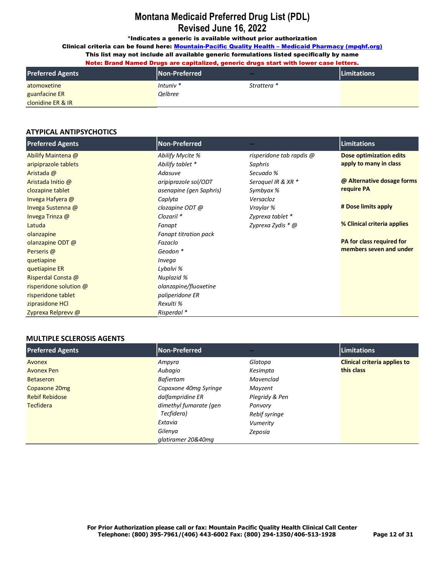\*Indicates a generic is available without prior authorization

Clinical criteria can be found here: Mountain-Pacific Quality Health - Medicaid Pharmacy (mpqhf.org)

This list may not include all available generic formulations listed specifically by name Note: Brand Named Drugs are capitalized, generic drugs start with lower case letters.

| <b>Preferred Agents</b> | <b>Non-Preferred</b>  | --          | <b>Limitations</b> |
|-------------------------|-----------------------|-------------|--------------------|
| atomoxetine             | Intuniv $*$           | Strattera * |                    |
| guanfacine ER           | <i><b>Oelbree</b></i> |             |                    |
| clonidine ER & IR       |                       |             |                    |

## **ATYPICAL ANTIPSYCHOTICS**

| <b>Preferred Agents</b> | <b>Non-Preferred</b>         |                          | <b>Limitations</b>          |
|-------------------------|------------------------------|--------------------------|-----------------------------|
| Abilify Maintena @      | Abilify Mycite %             | risperidone tab rapdis @ | Dose optimization edits     |
| aripiprazole tablets    | Abilify tablet *             | Saphris                  | apply to many in class      |
| Aristada @              | Adasuve                      | Secuado %                |                             |
| Aristada Initio @       | aripiprazole sol/ODT         | Seroquel IR & XR *       | @ Alternative dosage forms  |
| clozapine tablet        | asenapine (gen Saphris)      | Symbyax %                | require PA                  |
| Invega Hafyera @        | Caplyta                      | Versacloz                |                             |
| Invega Sustenna @       | clozapine ODT @              | Vraylar %                | # Dose limits apply         |
| Invega Trinza @         | Clozaril <sup>*</sup>        | Zyprexa tablet *         |                             |
| Latuda                  | Fanapt                       | Zyprexa Zydis * @        | % Clinical criteria applies |
| olanzapine              | <b>Fanapt titration pack</b> |                          |                             |
| olanzapine ODT @        | Fazaclo                      |                          | PA for class required for   |
| Perseris @              | Geodon *                     |                          | members seven and under     |
| quetiapine              | Invega                       |                          |                             |
| quetiapine ER           | Lybalvi %                    |                          |                             |
| Risperdal Consta @      | Nuplazid %                   |                          |                             |
| risperidone solution @  | olanzapine/fluoxetine        |                          |                             |
| risperidone tablet      | paliperidone ER              |                          |                             |
| ziprasidone HCl         | Rexulti %                    |                          |                             |
| Zyprexa Relprevy @      | Risperdal *                  |                          |                             |

## **MULTIPLE SCLEROSIS AGENTS**

| <b>Preferred Agents</b> | Non-Preferred          | --             | Limitations                         |
|-------------------------|------------------------|----------------|-------------------------------------|
| Avonex                  | Ampyra                 | Glatopa        | <b>Clinical criteria applies to</b> |
| Avonex Pen              | Aubagio                | Kesimpta       | this class                          |
| <b>Betaseron</b>        | <b>Bafiertam</b>       | Mavenclad      |                                     |
| Copaxone 20mg           | Copaxone 40mg Syringe  | Mayzent        |                                     |
| <b>Rebif Rebidose</b>   | dalfampridine ER       | Plegridy & Pen |                                     |
| <b>Tecfidera</b>        | dimethyl fumarate (gen | Ponvory        |                                     |
|                         | Tecfidera)             | Rebif syringe  |                                     |
|                         | Extavia                | Vumerity       |                                     |
|                         | Gilenya                | Zeposia        |                                     |
|                         | glatiramer 20&40mg     |                |                                     |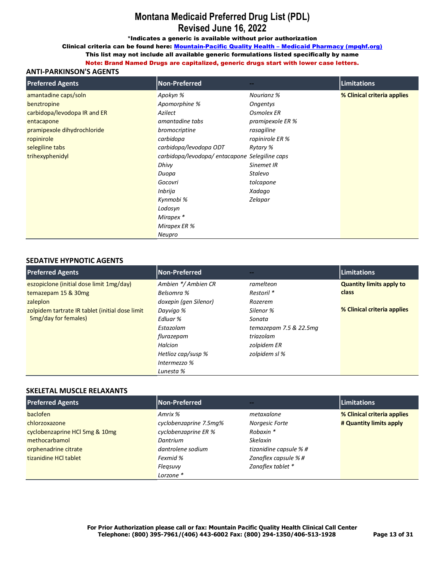\*Indicates a generic is available without prior authorization

Clinical criteria can be found here: Mountain-Pacific Quality Health - Medicaid Pharmacy (mpqhf.org)

This list may not include all available generic formulations listed specifically by name

Note: Brand Named Drugs are capitalized, generic drugs start with lower case letters.

## **ANTI-PARKINSON'S AGENTS**

| <b>Preferred Agents</b>      | Non-Preferred                 |                  | Limitations                 |
|------------------------------|-------------------------------|------------------|-----------------------------|
| amantadine caps/soln         | Apokyn %                      | Nourianz %       | % Clinical criteria applies |
| benztropine                  | Apomorphine %                 | Ongentys         |                             |
| carbidopa/levodopa IR and ER | Azilect                       | Osmolex ER       |                             |
| entacapone                   | amantadine tabs               | pramipexole ER % |                             |
| pramipexole dihydrochloride  | bromocriptine                 | rasagiline       |                             |
| ropinirole                   | carbidopa                     | ropinirole ER %  |                             |
| selegiline tabs              | carbidopa/levodopa ODT        | Rytary %         |                             |
| trihexyphenidyl              | carbidopa/levodopa/entacapone | Selegiline caps  |                             |
|                              | Dhivy                         | Sinemet IR       |                             |
|                              | Duopa                         | Stalevo          |                             |
|                              | Gocovri                       | tolcapone        |                             |
|                              | Inbrija                       | Xadaqo           |                             |
|                              | Kynmobi %                     | Zelapar          |                             |
|                              | Lodosyn                       |                  |                             |
|                              | Mirapex *                     |                  |                             |
|                              | Mirapex ER %                  |                  |                             |
|                              | Neupro                        |                  |                             |

## **SEDATIVE HYPNOTIC AGENTS**

| <b>Preferred Agents</b>                         | Non-Preferred         | --                        | <b>Limitations</b>              |
|-------------------------------------------------|-----------------------|---------------------------|---------------------------------|
| eszopiclone (initial dose limit 1mg/day)        | Ambien */ Ambien CR   | ramelteon                 | <b>Quantity limits apply to</b> |
| temazepam 15 & 30mg                             | Belsomra %            | Restoril *                | class                           |
| zaleplon                                        | doxepin (gen Silenor) | Rozerem                   |                                 |
| zolpidem tartrate IR tablet (initial dose limit | Dayvigo %             | Silenor %                 | % Clinical criteria applies     |
| <b>5mg/day for females)</b>                     | Edluar %              | Sonata                    |                                 |
|                                                 | Estazolam             | temazepam $7.5 & 22.5$ mq |                                 |
|                                                 | flurazepam            | triazolam                 |                                 |
|                                                 | Halcion               | zolpidem ER               |                                 |
|                                                 | Hetlioz cap/susp %    | zolpidem sl %             |                                 |
|                                                 | Intermezzo %          |                           |                                 |
|                                                 | Lunesta %             |                           |                                 |

## **SKELETAL MUSCLE RELAXANTS**

| <b>Preferred Agents</b>        | <b>Non-Preferred</b>   |                        | <b>Limitations</b>          |
|--------------------------------|------------------------|------------------------|-----------------------------|
| baclofen                       | Amrix %                | metaxalone             | % Clinical criteria applies |
| chlorzoxazone                  | cyclobenzaprine 7.5mg% | Norgesic Forte         | # Quantity limits apply     |
| cyclobenzaprine HCl 5mg & 10mg | cyclobenzaprine ER %   | Robaxin *              |                             |
| methocarbamol                  | Dantrium               | <b>Skelaxin</b>        |                             |
| orphenadrine citrate           | dantrolene sodium      | tizanidine capsule % # |                             |
| tizanidine HCI tablet          | Fexmid %               | Zanaflex capsule % #   |                             |
|                                | Flegsuvy               | Zanaflex tablet *      |                             |
|                                | Lorzone *              |                        |                             |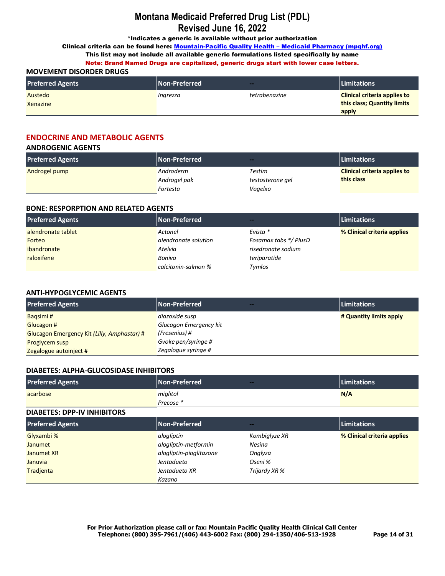\*Indicates a generic is available without prior authorization

Clinical criteria can be found here: Mountain-Pacific Quality Health - Medicaid Pharmacy (mpqhf.org)

This list may not include all available generic formulations listed specifically by name

Note: Brand Named Drugs are capitalized, generic drugs start with lower case letters.

## **MOVEMENT DISORDER DRUGS**

| <b>Preferred Agents</b> | <b>Non-Preferred</b> | $-$           | <b>Limitations</b>                  |
|-------------------------|----------------------|---------------|-------------------------------------|
| Austedo                 | Ingrezza             | tetrabenazine | <b>Clinical criteria applies to</b> |
| <b>Xenazine</b>         |                      |               | this class; Quantity limits         |
|                         |                      |               | apply                               |

## **ENDOCRINE AND METABOLIC AGENTS**

#### **ANDROGENIC AGENTS**

| <b>Preferred Agents</b> | <b>Non-Preferred</b> | $-$              | <b>Limitations</b>                  |
|-------------------------|----------------------|------------------|-------------------------------------|
| Androgel pump           | Androderm            | Testim           | <b>Clinical criteria applies to</b> |
|                         | Androgel pak         | testosterone gel | this class                          |
|                         | Fortesta             | Voqelxo          |                                     |

## **BONE: RESPORPTION AND RELATED AGENTS**

| <b>Preferred Agents</b> | Non-Preferred        | --                    | <b>Limitations</b>          |
|-------------------------|----------------------|-----------------------|-----------------------------|
| alendronate tablet      | Actonel              | Evista *              | % Clinical criteria applies |
| Forteo                  | alendronate solution | Fosamax tabs */ PlusD |                             |
| ibandronate             | Atelvia              | risedronate sodium    |                             |
| raloxifene              | Boniva               | teriparatide          |                             |
|                         | calcitonin-salmon %  | Tymlos                |                             |

### **ANTI-HYPOGLYCEMIC AGENTS**

| <b>Preferred Agents</b>                     | <b>Non-Preferred</b><br>$-$ | <b>Limitations</b>      |
|---------------------------------------------|-----------------------------|-------------------------|
| Bagsimi#                                    | diazoxide susp              | # Quantity limits apply |
| Glucagon #                                  | Glucagon Emergency kit      |                         |
| Glucagon Emergency Kit (Lilly, Amphastar) # | (Fresenius) #               |                         |
| <b>Proglycem susp</b>                       | Gvoke pen/syringe #         |                         |
| Zegalogue autoinject #                      | Zegalogue syringe #         |                         |

#### **DIABETES: ALPHA-GLUCOSIDASE INHIBITORS**

| <b>Preferred Agents</b> | Non-Preferred | -- | <b>Limitations</b> |
|-------------------------|---------------|----|--------------------|
| acarbose                | miglitol      |    | N/A                |
|                         | Precose *     |    |                    |

#### **DIABETES: DPP-IV INHIBITORS**

| <b>Preferred Agents</b> | Non-Preferred           | --            | <b>Limitations</b>          |
|-------------------------|-------------------------|---------------|-----------------------------|
| Glyxambi %              | alogliptin              | Kombiglyze XR | % Clinical criteria applies |
| Janumet                 | alogliptin-metformin    | <b>Nesina</b> |                             |
| Janumet XR              | alogliptin-pioglitazone | Onglyza       |                             |
| Januvia                 | Jentadueto              | Oseni %       |                             |
| Tradienta               | Jentadueto XR           | Trijardy XR % |                             |
|                         | Kazano                  |               |                             |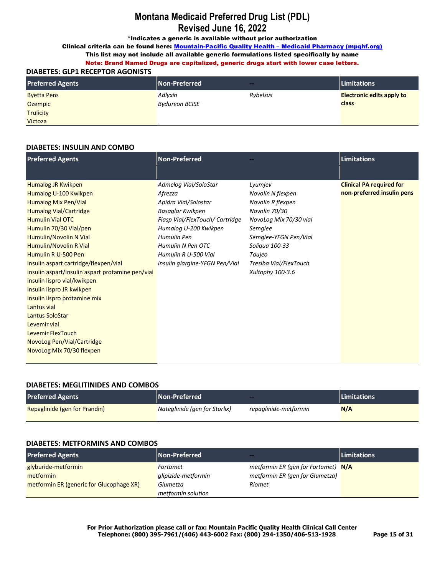\*Indicates a generic is available without prior authorization

Clinical criteria can be found here: Mountain-Pacific Quality Health - Medicaid Pharmacy (mpqhf.org)

# This list may not include all available generic formulations listed specifically by name

Note: Brand Named Drugs are capitalized, generic drugs start with lower case letters. **DIABETES: GLP1 RECEPTOR AGONISTS**

| <b>Preferred Agents</b> | Non-Preferred         | $-$      | Limitations                      |
|-------------------------|-----------------------|----------|----------------------------------|
| <b>Byetta Pens</b>      | Adlyxin               | Rybelsus | <b>Electronic edits apply to</b> |
| <b>Ozempic</b>          | <b>Bydureon BCISE</b> |          | class                            |
| <b>Trulicity</b>        |                       |          |                                  |
| Victoza                 |                       |          |                                  |

### **DIABETES: INSULIN AND COMBO**

| <b>Preferred Agents</b>                                                                                                                                                                                                                                                                                                                                                                              | <b>Non-Preferred</b>                                                                                                                                                                                                                   |                                                                                                                                                                                                            | <b>Limitations</b>                                            |
|------------------------------------------------------------------------------------------------------------------------------------------------------------------------------------------------------------------------------------------------------------------------------------------------------------------------------------------------------------------------------------------------------|----------------------------------------------------------------------------------------------------------------------------------------------------------------------------------------------------------------------------------------|------------------------------------------------------------------------------------------------------------------------------------------------------------------------------------------------------------|---------------------------------------------------------------|
|                                                                                                                                                                                                                                                                                                                                                                                                      |                                                                                                                                                                                                                                        |                                                                                                                                                                                                            |                                                               |
| <b>Humalog JR Kwikpen</b><br>Humalog U-100 Kwikpen<br>Humalog Mix Pen/Vial<br><b>Humalog Vial/Cartridge</b><br><b>Humulin Vial OTC</b><br>Humulin 70/30 Vial/pen<br>Humulin/Novolin N Vial<br>Humulin/Novolin R Vial<br>Humulin R U-500 Pen<br>insulin aspart cartridge/flexpen/vial<br>insulin aspart/insulin aspart protamine pen/vial<br>insulin lispro vial/kwikpen<br>insulin lispro JR kwikpen | Admelog Vial/SoloStar<br>Afrezza<br>Apidra Vial/Solostar<br>Basaglar Kwikpen<br>Fiasp Vial/FlexTouch/ Cartridge<br>Humalog U-200 Kwikpen<br>Humulin Pen<br>Humulin N Pen OTC<br>Humulin R U-500 Vial<br>insulin glargine-YFGN Pen/Vial | Lyumjev<br>Novolin N flexpen<br>Novolin R flexpen<br>Novolin 70/30<br>NovoLog Mix 70/30 vial<br>Semglee<br>Semglee-YFGN Pen/Vial<br>Soligua 100-33<br>Toujeo<br>Tresiba Vial/FlexTouch<br>Xultophy 100-3.6 | <b>Clinical PA required for</b><br>non-preferred insulin pens |
| insulin lispro protamine mix<br>Lantus vial<br>Lantus SoloStar<br>Levemir vial<br>Levemir FlexTouch<br>NovoLog Pen/Vial/Cartridge<br>NovoLog Mix 70/30 flexpen                                                                                                                                                                                                                                       |                                                                                                                                                                                                                                        |                                                                                                                                                                                                            |                                                               |

## **DIABETES: MEGLITINIDES AND COMBOS**

| <b>Preferred Agents</b>       | l Non-Preferred <b>\</b>      | $-$                   | <b>Limitations</b> |
|-------------------------------|-------------------------------|-----------------------|--------------------|
| Repaglinide (gen for Prandin) | Nateglinide (gen for Starlix) | repaglinide-metformin | N/A                |

#### **DIABETES: METFORMINS AND COMBOS**

| <b>Preferred Agents</b>                  | Non-Preferred       | $\sim$                              | <b>Limitations</b> |
|------------------------------------------|---------------------|-------------------------------------|--------------------|
| glyburide-metformin                      | Fortamet            | metformin ER (gen for Fortamet) N/A |                    |
| metformin                                | glipizide-metformin | metformin ER (gen for Glumetza)     |                    |
| metformin ER (generic for Glucophage XR) | Glumetza            | <b>Riomet</b>                       |                    |
|                                          | metformin solution  |                                     |                    |

**For Prior Authorization please call or fax: Mountain Pacific Quality Health Clinical Call Center Telephone: (800) 395-7961/(406) 443-6002 Fax: (800) 294-1350/406-513-1928 Page 15 of 31**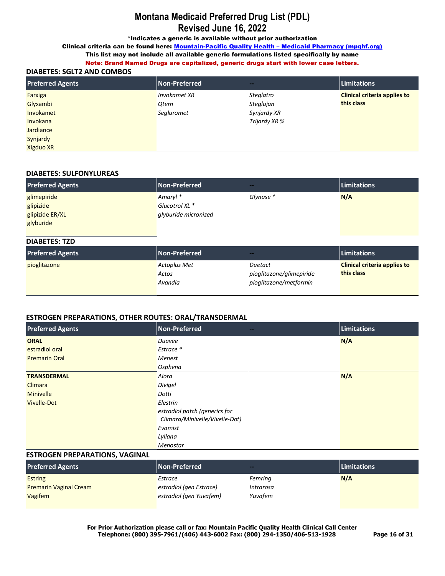\*Indicates a generic is available without prior authorization

Clinical criteria can be found here: Mountain-Pacific Quality Health - Medicaid Pharmacy (mpqhf.org) This list may not include all available generic formulations listed specifically by name

Note: Brand Named Drugs are capitalized, generic drugs start with lower case letters.

### **DIABETES: SGLT2 AND COMBOS**

| <b>Preferred Agents</b> | Non-Preferred | $\sim$        | <b>Limitations</b>                  |
|-------------------------|---------------|---------------|-------------------------------------|
| Farxiga                 | Invokamet XR  | Steglatro     | <b>Clinical criteria applies to</b> |
| Glyxambi                | Otern         | Steglujan     | this class                          |
| Invokamet               | Segluromet    | Synjardy XR   |                                     |
| Invokana                |               | Trijardy XR % |                                     |
| <b>Jardiance</b>        |               |               |                                     |
| Synjardy                |               |               |                                     |
| <b>Xigduo XR</b>        |               |               |                                     |

#### **DIABETES: SULFONYLUREAS**

| <b>Preferred Agents</b> | Non-Preferred        | $\sim$    | Limitations |
|-------------------------|----------------------|-----------|-------------|
| glimepiride             | Amaryl <sup>*</sup>  | Glynase * | N/A         |
| glipizide               | Glucotrol XL *       |           |             |
| glipizide ER/XL         | glyburide micronized |           |             |
| glyburide               |                      |           |             |

| <b>DIABETES: TZD</b>    |                                         |                                                               |                                                   |
|-------------------------|-----------------------------------------|---------------------------------------------------------------|---------------------------------------------------|
| <b>Preferred Agents</b> | Non-Preferred                           | $-$                                                           | <b>Limitations</b>                                |
| pioglitazone            | <b>Actoplus Met</b><br>Actos<br>Avandia | Duetact<br>pioglitazone/glimepiride<br>pioglitazone/metformin | <b>Clinical criteria applies to</b><br>this class |

## **ESTROGEN PREPARATIONS, OTHER ROUTES: ORAL/TRANSDERMAL**

| <b>Preferred Agents</b> | Non-Preferred<br>$\sim$ $-$                                     | Limitations |
|-------------------------|-----------------------------------------------------------------|-------------|
| <b>ORAL</b>             | Duavee                                                          | N/A         |
| estradiol oral          | Estrace *                                                       |             |
| <b>Premarin Oral</b>    | <b>Menest</b>                                                   |             |
|                         | Osphena                                                         |             |
| <b>TRANSDERMAL</b>      | Alora                                                           | N/A         |
| Climara                 | Divigel                                                         |             |
| <b>Minivelle</b>        | Dotti                                                           |             |
| <b>Vivelle-Dot</b>      | Elestrin                                                        |             |
|                         | estradiol patch (generics for<br>Climara/Minivelle/Vivelle-Dot) |             |
|                         | Evamist                                                         |             |
|                         | Lyllana                                                         |             |
|                         | Menostar                                                        |             |

#### **ESTROGEN PREPARATIONS, VAGINAL**

| <b>Preferred Agents</b>       | Non-Preferred           | $-$       | <b>Limitations</b> |
|-------------------------------|-------------------------|-----------|--------------------|
| <b>Estring</b>                | Estrace                 | Femring   | N/A                |
| <b>Premarin Vaginal Cream</b> | estradiol (gen Estrace) | Intrarosa |                    |
| Vagifem                       | estradiol (gen Yuvafem) | Yuvafem   |                    |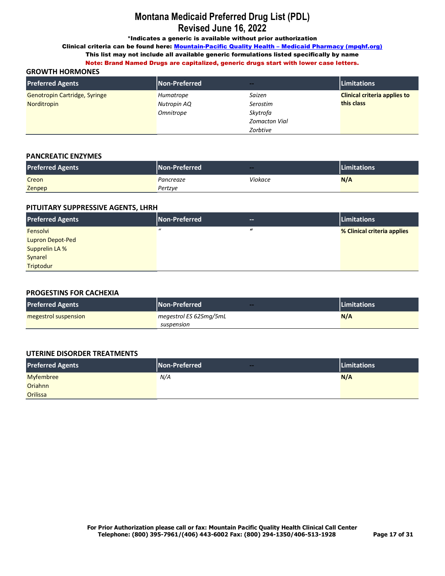\*Indicates a generic is available without prior authorization

Clinical criteria can be found here: Mountain-Pacific Quality Health - Medicaid Pharmacy (mpqhf.org)

This list may not include all available generic formulations listed specifically by name Note: Brand Named Drugs are capitalized, generic drugs start with lower case letters.

### **GROWTH HORMONES**

| <b>Preferred Agents</b>       | Non-Preferred | $\sim$               | Limitations                         |
|-------------------------------|---------------|----------------------|-------------------------------------|
| Genotropin Cartridge, Syringe | Humatrope     | Saizen               | <b>Clinical criteria applies to</b> |
| Norditropin                   | Nutropin AQ   | Serostim             | this class                          |
|                               | Omnitrope     | Skytrofa             |                                     |
|                               |               | <b>Zomacton Vial</b> |                                     |
|                               |               | Zorbtive             |                                     |

### **PANCREATIC ENZYMES**

| <b>Preferred Agents</b> | <b>Non-Preferred</b> | $\sim$  | <b>Limitations</b> |
|-------------------------|----------------------|---------|--------------------|
| Creon                   | Pancreaze            | Viokace | N/A                |
| Zenpep                  | Pertzye              |         |                    |

### **PITUITARY SUPPRESSIVE AGENTS, LHRH**

| <b>Preferred Agents</b> | Non-Preferred | --       | Limitations                 |
|-------------------------|---------------|----------|-----------------------------|
| Fensolvi                | $\bf{u}$      | $\bf{u}$ | % Clinical criteria applies |
| <b>Lupron Depot-Ped</b> |               |          |                             |
| <b>Supprelin LA %</b>   |               |          |                             |
| Synarel                 |               |          |                             |
| Triptodur               |               |          |                             |

#### **PROGESTINS FOR CACHEXIA**

| <b>Preferred Agents</b> | l Non-Preferred <b>\</b> | $-$ | <b>Limitations</b> |
|-------------------------|--------------------------|-----|--------------------|
| megestrol suspension    | megestrol ES 625mg/5mL   |     | N/A                |
|                         | suspension               |     |                    |

## **UTERINE DISORDER TREATMENTS**

| <b>Preferred Agents</b> | Non-Preferred<br>$-$ | <b>Limitations</b> |
|-------------------------|----------------------|--------------------|
| <b>Myfembree</b>        | N/A                  | N/A                |
| Oriahnn                 |                      |                    |
| Orilissa                |                      |                    |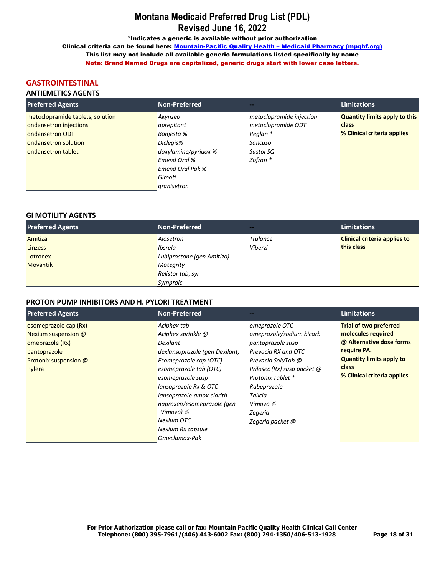\*Indicates a generic is available without prior authorization

Clinical criteria can be found here: Mountain-Pacific Quality Health - Medicaid Pharmacy (mpghf.org) This list may not include all available generic formulations listed specifically by name Note: Brand Named Drugs are capitalized, generic drugs start with lower case letters.

## **GASTROINTESTINAL**

## **ANTIEMETICS AGENTS**

| <b>Preferred Agents</b>          | <b>Non-Preferred</b>    | --                       | <b>Limitations</b>                   |
|----------------------------------|-------------------------|--------------------------|--------------------------------------|
| metoclopramide tablets, solution | Akynzeo                 | metoclopramide injection | <b>Quantity limits apply to this</b> |
| ondansetron injections           | aprepitant              | metoclopramide ODT       | class                                |
| ondansetron ODT                  | Bonjesta %              | Reglan *                 | % Clinical criteria applies          |
| ondansetron solution             | Diclegis%               | Sancuso                  |                                      |
| ondansetron tablet               | doxylamine/pyridox %    | Sustol SQ                |                                      |
|                                  | Emend Oral %            | Zofran *                 |                                      |
|                                  | <b>Emend Oral Pak %</b> |                          |                                      |
|                                  | Gimoti                  |                          |                                      |
|                                  | granisetron             |                          |                                      |

## **GI MOTILITY AGENTS**

| <b>Preferred Agents</b> | Non-Preferred              | --              | <b>Limitations</b>                  |
|-------------------------|----------------------------|-----------------|-------------------------------------|
| Amitiza                 | Alosetron                  | <b>Trulance</b> | <b>Clinical criteria applies to</b> |
| <b>Linzess</b>          | Ibsrela                    | Viberzi         | this class                          |
| Lotronex                | Lubiprostone (gen Amitiza) |                 |                                     |
| <b>Movantik</b>         | Motegrity                  |                 |                                     |
|                         | Relistor tab, syr          |                 |                                     |
|                         | Symproic                   |                 |                                     |

### PROTON PUMP INHIBITORS AND H. PYLORI TREATMENT

| <b>Preferred Agents</b>                                                                                            | <b>Non-Preferred</b>                                                                                                                                                                                                                                                                                          |                                                                                                                                                                                                                                       | <b>Limitations</b>                                                                                                                                                        |
|--------------------------------------------------------------------------------------------------------------------|---------------------------------------------------------------------------------------------------------------------------------------------------------------------------------------------------------------------------------------------------------------------------------------------------------------|---------------------------------------------------------------------------------------------------------------------------------------------------------------------------------------------------------------------------------------|---------------------------------------------------------------------------------------------------------------------------------------------------------------------------|
| esomeprazole cap (Rx)<br>Nexium suspension @<br>omeprazole (Rx)<br>pantoprazole<br>Protonix suspension @<br>Pylera | Aciphex tab<br>Aciphex sprinkle @<br>Dexilant<br>dexlansoprazole (gen Dexilant)<br>Esomeprazole cap (OTC)<br>esomeprazole tab (OTC)<br>esomeprazole susp<br>lansoprazole Rx & OTC<br>lansoprazole-amox-clarith<br>naproxen/esomeprazole (gen<br>Vimovo) %<br>Nexium OTC<br>Nexium Rx capsule<br>Omeclamox-Pak | omeprazole OTC<br>omeprazole/sodium bicarb<br>pantoprazole susp<br>Prevacid RX and OTC<br>Prevacid SoluTab @<br>Prilosec (Rx) susp packet @<br>Protonix Tablet *<br>Rabeprazole<br>Talicia<br>Vimovo %<br>Zegerid<br>Zegerid packet @ | <b>Trial of two preferred</b><br>molecules required<br>@ Alternative dose forms<br>require PA.<br><b>Quantity limits apply to</b><br>class<br>% Clinical criteria applies |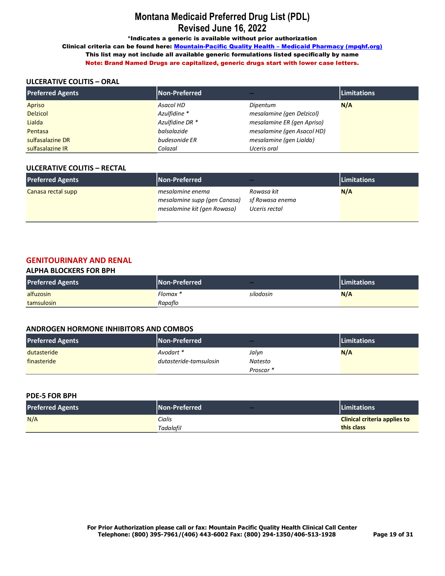\*Indicates a generic is available without prior authorization

Clinical criteria can be found here: Mountain-Pacific Quality Health - Medicaid Pharmacy (mpqhf.org) This list may not include all available generic formulations listed specifically by name Note: Brand Named Drugs are capitalized, generic drugs start with lower case letters.

## **ULCERATIVE COLITIS – ORAL**

| <b>Preferred Agents</b> | Non-Preferred   | --                         | <b>Limitations</b> |
|-------------------------|-----------------|----------------------------|--------------------|
| Apriso                  | Asacol HD       | Dipentum                   | N/A                |
| <b>Delzicol</b>         | Azulfidine *    | mesalamine (gen Delzicol)  |                    |
| Lialda                  | Azulfidine DR * | mesalamine ER (gen Apriso) |                    |
| Pentasa                 | balsalazide     | mesalamine (gen Asacol HD) |                    |
| sulfasalazine DR        | budesonide ER   | mesalamine (gen Lialda)    |                    |
| sulfasalazine IR        | Colazal         | Uceris oral                |                    |

#### **ULCERATIVE COLITIS – RECTAL**

| <b>Preferred Agents</b> | Non-Preferred                                                                   | $-1$                                           | <b>Limitations</b> |
|-------------------------|---------------------------------------------------------------------------------|------------------------------------------------|--------------------|
| Canasa rectal supp      | mesalamine enema<br>mesalamine supp (gen Canasa)<br>mesalamine kit (gen Rowasa) | Rowasa kit<br>sf Rowasa enema<br>Uceris rectal | N/A                |

## **GENITOURINARY AND RENAL**

#### **ALPHA BLOCKERS FOR BPH**

| <b>Preferred Agents</b> | Non-Preferred | --        | <b>Limitations</b> |
|-------------------------|---------------|-----------|--------------------|
| alfuzosin               | Flomax *      | silodosin | N/A                |
| tamsulosin              | Rapaflo       |           |                    |

#### **ANDROGEN HORMONE INHIBITORS AND COMBOS**

| <b>Preferred Agents</b> | Non-Preferred          | $-$       | <b>Limitations</b> |
|-------------------------|------------------------|-----------|--------------------|
| dutasteride             | Avodart *              | Jalvn     | N/A                |
| finasteride             | dutasteride-tamsulosin | Natesto   |                    |
|                         |                        | Proscar * |                    |

| <b>PDE-5 FOR BPH</b>    |                             |                                     |
|-------------------------|-----------------------------|-------------------------------------|
| <b>Preferred Agents</b> | <b>Non-Preferred</b><br>$-$ | <b>Limitations</b>                  |
| N/A                     | Cialis                      | <b>Clinical criteria applies to</b> |
|                         | Tadalafil                   | this class                          |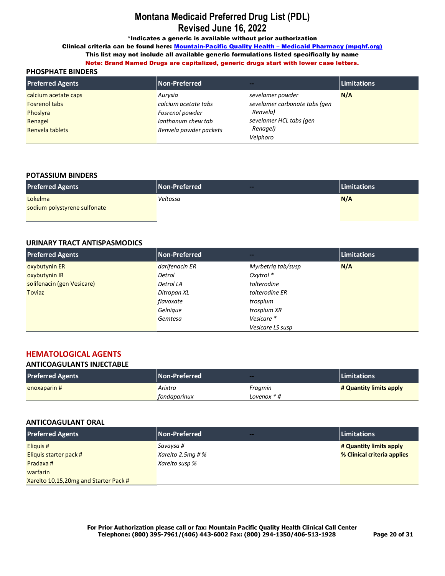\*Indicates a generic is available without prior authorization

Clinical criteria can be found here: Mountain-Pacific Quality Health - Medicaid Pharmacy (mpqhf.org)

This list may not include all available generic formulations listed specifically by name

## Note: Brand Named Drugs are capitalized, generic drugs start with lower case letters.

## **PHOSPHATE BINDERS**

| <b>Preferred Agents</b> | <b>Non-Preferred</b>   |                               | Limitations |
|-------------------------|------------------------|-------------------------------|-------------|
| calcium acetate caps    | Auryxia                | sevelamer powder              | N/A         |
| <b>Fosrenol tabs</b>    | calcium acetate tabs   | sevelamer carbonate tabs (gen |             |
| Phoslyra                | Fosrenol powder        | Renvela)                      |             |
| Renagel                 | lanthanum chew tab     | sevelamer HCL tabs (gen       |             |
| Renvela tablets         | Renvela powder packets | Renagel)                      |             |
|                         |                        | Velphoro                      |             |

#### **POTASSIUM BINDERS**

| <b>Preferred Agents</b>      | Non-Preferred<br>$-$ | <b>Limitations</b> |
|------------------------------|----------------------|--------------------|
| Lokelma                      | Veltassa             | N/A                |
| sodium polystyrene sulfonate |                      |                    |
|                              |                      |                    |

#### **URINARY TRACT ANTISPASMODICS**

| <b>Preferred Agents</b>    | Non-Preferred  | --                 | <b>Limitations</b> |
|----------------------------|----------------|--------------------|--------------------|
| oxybutynin ER              | darifenacin ER | Myrbetrig tab/susp | N/A                |
| oxybutynin IR              | Detrol         | Oxytrol *          |                    |
| solifenacin (gen Vesicare) | Detrol LA      | tolterodine        |                    |
| Toviaz                     | Ditropan XL    | tolterodine ER     |                    |
|                            | flavoxate      | trospium           |                    |
|                            | Gelnique       | trospium XR        |                    |
|                            | Gemtesa        | Vesicare *         |                    |
|                            |                | Vesicare LS susp   |                    |

## **HEMATOLOGICAL AGENTS**

#### **ANTICOAGULANTS INJECTABLE**

| <b>Preferred Agents</b> | Non-Preferred | --          | <b>Limitations</b>      |
|-------------------------|---------------|-------------|-------------------------|
| enoxaparin #            | Arixtra       | Fragmin     | # Quantity limits apply |
|                         | fondaparinux  | Lovenox * # |                         |

#### **ANTICOAGULANT ORAL**

| <b>Preferred Agents</b>               | Non-Preferred<br><b>Service</b> | <b>Limitations</b>          |
|---------------------------------------|---------------------------------|-----------------------------|
| Eliguis #                             | Savaysa #                       | # Quantity limits apply     |
| Eliquis starter pack #                | Xarelto 2.5mg # $%$             | % Clinical criteria applies |
| Pradaxa#                              | Xarelto susp %                  |                             |
| warfarin                              |                                 |                             |
| Xarelto 10,15,20mg and Starter Pack # |                                 |                             |

**For Prior Authorization please call or fax: Mountain Pacific Quality Health Clinical Call Center Telephone: (800) 395-7961/(406) 443-6002 Fax: (800) 294-1350/406-513-1928 Page 20 of 31**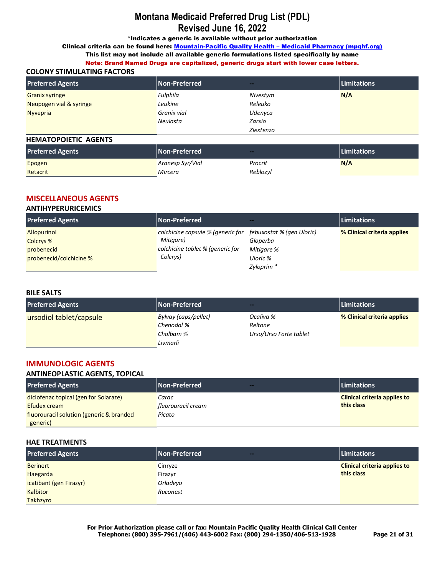\*Indicates a generic is available without prior authorization

Clinical criteria can be found here: Mountain-Pacific Quality Health - Medicaid Pharmacy (mpqhf.org)

This list may not include all available generic formulations listed specifically by name

Note: Brand Named Drugs are capitalized, generic drugs start with lower case letters. **COLONY STIMULATING FACTORS**

| <b>Preferred Agents</b> | Non-Preferred | $-$       | <b>Limitations</b> |  |
|-------------------------|---------------|-----------|--------------------|--|
| <b>Granix syringe</b>   | Fulphila      | Nivestym  | N/A                |  |
| Neupogen vial & syringe | Leukine       | Releuko   |                    |  |
| <b>Nyvepria</b>         | Granix vial   | Udenyca   |                    |  |
|                         | Neulasta      | Zarxio    |                    |  |
|                         |               | Ziextenzo |                    |  |

#### **HEMATOPOIETIC AGENTS**

| <b>Preferred Agents</b> | Non-Preferred    | $-$      | <b>Limitations</b> |  |
|-------------------------|------------------|----------|--------------------|--|
| Epogen                  | Aranesp Syr/Vial | Procrit  | N/A                |  |
| Retacrit                | Mircera          | Reblozyl |                    |  |

## **MISCELLANEOUS AGENTS**

## **ANTIHYPERURICEMICS**

| <b>Preferred Agents</b> | Non-Preferred                     | $-$                       | <b>Limitations</b>          |
|-------------------------|-----------------------------------|---------------------------|-----------------------------|
| <b>Allopurinol</b>      | colchicine capsule % (generic for | febuxostat % (gen Uloric) | % Clinical criteria applies |
| Colcrys %               | Mitigare)                         | Gloperba                  |                             |
| probenecid              | colchicine tablet % (generic for  | Mitigare %                |                             |
| probenecid/colchicine % | Colcrys)                          | Uloric %                  |                             |
|                         |                                   | Zyloprim *                |                             |

#### **BILE SALTS**

| <b>Preferred Agents</b> | Non-Preferred        | $- -$                  | <b>Limitations</b>          |
|-------------------------|----------------------|------------------------|-----------------------------|
| ursodiol tablet/capsule | Bylvay (caps/pellet) | Ocaliva %              | % Clinical criteria applies |
|                         | Chenodal %           | Reltone                |                             |
|                         | Cholbam %            | Urso/Urso Forte tablet |                             |
|                         | Livmarli             |                        |                             |

## **IMMUNOLOGIC AGENTS**

#### **ANTINEOPLASTIC AGENTS, TOPICAL**

| <b>Preferred Agents</b>                  | <b>Non-Preferred</b><br>$-1$ | <b>Limitations</b>                  |
|------------------------------------------|------------------------------|-------------------------------------|
| diclofenac topical (gen for Solaraze)    | Carac                        | <b>Clinical criteria applies to</b> |
| Efudex cream                             | fluorouracil cream           | this class                          |
| fluorouracil solution (generic & branded | Picato                       |                                     |
| generic)                                 |                              |                                     |

#### **HAE TREATMENTS**

| <b>Preferred Agents</b> | Non-Preferred<br>$-1$ | <b>Limitations</b>                  |
|-------------------------|-----------------------|-------------------------------------|
| <b>Berinert</b>         | Cinryze               | <b>Clinical criteria applies to</b> |
| Haegarda                | Firazyr               | this class                          |
| icatibant (gen Firazyr) | Orladevo              |                                     |
| <b>Kalbitor</b>         | Ruconest              |                                     |
| Takhzyro                |                       |                                     |

**For Prior Authorization please call or fax: Mountain Pacific Quality Health Clinical Call Center Telephone: (800) 395-7961/(406) 443-6002 Fax: (800) 294-1350/406-513-1928 Page 21 of 31**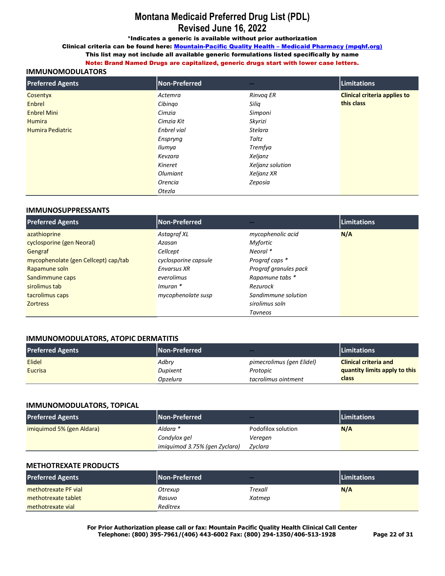\*Indicates a generic is available without prior authorization

Clinical criteria can be found here: Mountain-Pacific Quality Health - Medicaid Pharmacy (mpqhf.org) This list may not include all available generic formulations listed specifically by name

Note: Brand Named Drugs are capitalized, generic drugs start with lower case letters.

### **IMMUNOMODULATORS**

| <b>Preferred Agents</b> | Non-Preferred | $\sim$           | Limitations                         |
|-------------------------|---------------|------------------|-------------------------------------|
| Cosentyx                | Actemra       | Rinvog ER        | <b>Clinical criteria applies to</b> |
| Enbrel                  | Cibingo       | Silig            | this class                          |
| <b>Enbrel Mini</b>      | Cimzia        | Simponi          |                                     |
| <b>Humira</b>           | Cimzia Kit    | Skyrizi          |                                     |
| <b>Humira Pediatric</b> | Enbrel vial   | <b>Stelara</b>   |                                     |
|                         | Enspryng      | Taltz            |                                     |
|                         | Ilumya        | Tremfya          |                                     |
|                         | Kevzara       | Xeljanz          |                                     |
|                         | Kineret       | Xeljanz solution |                                     |
|                         | Olumiant      | Xeljanz XR       |                                     |
|                         | Orencia       | Zeposia          |                                     |
|                         | Otezla        |                  |                                     |

#### **IMMUNOSUPPRESSANTS**

| <b>Preferred Agents</b>              | Non-Preferred        |                       | Limitations |
|--------------------------------------|----------------------|-----------------------|-------------|
| azathioprine                         | Astagraf XL          | mycophenolic acid     | N/A         |
| cyclosporine (gen Neoral)            | Azasan               | <b>Myfortic</b>       |             |
| Gengraf                              | Cellcept             | Neoral *              |             |
| mycophenolate (gen Cellcept) cap/tab | cyclosporine capsule | Prograf caps *        |             |
| Rapamune soln                        | <b>Envarsus XR</b>   | Prograf granules pack |             |
| Sandimmune caps                      | everolimus           | Rapamune tabs *       |             |
| sirolimus tab                        | $Imuran$ *           | Rezurock              |             |
| tacrolimus caps                      | mycophenolate susp   | Sandimmune solution   |             |
| <b>Zortress</b>                      |                      | sirolimus soln        |             |
|                                      |                      | Tavneos               |             |

#### **IMMUNOMODULATORS, ATOPIC DERMATITIS**

| <b>Preferred Agents</b> | <b>Non-Preferred</b> | $-$                       | <b>Limitations</b>            |
|-------------------------|----------------------|---------------------------|-------------------------------|
| <b>Elidel</b>           | Adbry                | pimecrolimus (gen Elidel) | <b>Clinical criteria and</b>  |
| Eucrisa                 | Dupixent             | Protopic                  | quantity limits apply to this |
|                         | Opzelura             | tacrolimus ointment       | class                         |

#### **IMMUNOMODULATORS, TOPICAL**

| <b>Preferred Agents</b>   | <b>Non-Preferred</b>          | $-$                | <b>Limitations</b> |
|---------------------------|-------------------------------|--------------------|--------------------|
| imiguimod 5% (gen Aldara) | Aldara *                      | Podofilox solution | N/A                |
|                           | Condylox gel                  | Veregen            |                    |
|                           | imiquimod 3.75% (gen Zyclara) | Zvclara            |                    |

#### **METHOTREXATE PRODUCTS**

| <b>Preferred Agents</b> | <b>Non-Preferred</b> | $\sim$  | <b>Limitations</b> |
|-------------------------|----------------------|---------|--------------------|
| methotrexate PF vial    | Otrexup              | Trexall | N/A                |
| methotrexate tablet     | Rasuvo               | Xatmep  |                    |
| methotrexate vial       | Reditrex             |         |                    |

For Prior Authorization please call or fax: Mountain Pacific Quality Health Clinical Call Center Telephone: (800) 395-7961/(406) 443-6002 Fax: (800) 294-1350/406-513-1928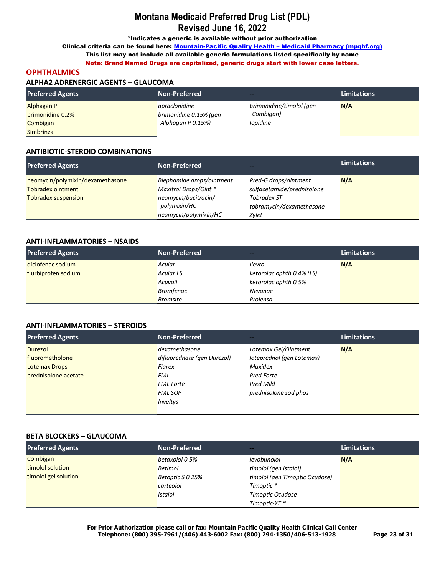\*Indicates a generic is available without prior authorization

Clinical criteria can be found here: Mountain-Pacific Quality Health - Medicaid Pharmacy (mpqhf.org)

This list may not include all available generic formulations listed specifically by name Note: Brand Named Drugs are capitalized, generic drugs start with lower case letters.

#### **OPHTHALMICS**

#### **ALPHA2 ADRENERGIC AGENTS - GLAUCOMA**

| <b>Preferred Agents</b> | <b>Non-Preferred</b>   | $-1$                     | <b>Limitations</b> |
|-------------------------|------------------------|--------------------------|--------------------|
| Alphagan P              | apraclonidine          | brimonidine/timolol (gen | N/A                |
| brimonidine 0.2%        | brimonidine 0.15% (gen | Combigan)                |                    |
| Combigan                | Alphagan P 0.15%)      | <i>lopidine</i>          |                    |
| Simbrinza               |                        |                          |                    |

#### **ANTIBIOTIC-STEROID COMBINATIONS**

| <b>Preferred Agents</b>          | Non-Preferred             | --                         | <b>Limitations</b> |
|----------------------------------|---------------------------|----------------------------|--------------------|
| neomycin/polymixin/dexamethasone | Blephamide drops/ointment | Pred-G drops/ointment      | N/A                |
| <b>Tobradex ointment</b>         | Maxitrol Drops/Oint *     | sulfacetamide/prednisolone |                    |
| <b>Tobradex suspension</b>       | neomycin/bacitracin/      | <b>Tobradex ST</b>         |                    |
|                                  | polymixin/HC              | tobramycin/dexamethasone   |                    |
|                                  | neomycin/polymixin/HC     | Zylet                      |                    |

#### **ANTI-INFLAMMATORIES - NSAIDS**

| <b>Preferred Agents</b> | <b>Non-Preferred</b> | $\sim$                    | <b>Limitations</b> |
|-------------------------|----------------------|---------------------------|--------------------|
| diclofenac sodium       | Acular               | Ilevro                    | N/A                |
| flurbiprofen sodium     | <b>Acular LS</b>     | ketorolac ophth 0.4% (LS) |                    |
|                         | Acuvail              | ketorolac ophth 0.5%      |                    |
|                         | <b>Bromfenac</b>     | Nevanac                   |                    |
|                         | <b>Bromsite</b>      | Prolensa                  |                    |

### **ANTI-INFLAMMATORIES - STEROIDS**

| <b>Preferred Agents</b> | Non-Preferred               | --                        | <b>Limitations</b> |
|-------------------------|-----------------------------|---------------------------|--------------------|
| Durezol                 | dexamethasone               | Lotemax Gel/Ointment      | N/A                |
| fluorometholone         | difluprednate (gen Durezol) | loteprednol (gen Lotemax) |                    |
| <b>Lotemax Drops</b>    | Flarex                      | <b>Maxidex</b>            |                    |
| prednisolone acetate    | FML                         | Pred Forte                |                    |
|                         | <b>FML Forte</b>            | Pred Mild                 |                    |
|                         | <b>FML SOP</b>              | prednisolone sod phos     |                    |
|                         | Inveltys                    |                           |                    |
|                         |                             |                           |                    |

#### **BETA BLOCKERS - GLAUCOMA**

| <b>Preferred Agents</b> | Non-Preferred    | $\sim$                         | Limitations |
|-------------------------|------------------|--------------------------------|-------------|
| Combigan                | betaxolol 0.5%   | levobunolol                    | N/A         |
| timolol solution        | <b>Betimol</b>   | timolol (gen Istalol)          |             |
| timolol gel solution    | Betoptic S 0.25% | timolol (gen Timoptic Ocudose) |             |
|                         | carteolol        | Timoptic *                     |             |
|                         | <b>Istalol</b>   | Timoptic Ocudose               |             |
|                         |                  | Timoptic-XE *                  |             |

For Prior Authorization please call or fax: Mountain Pacific Quality Health Clinical Call Center Telephone: (800) 395-7961/(406) 443-6002 Fax: (800) 294-1350/406-513-1928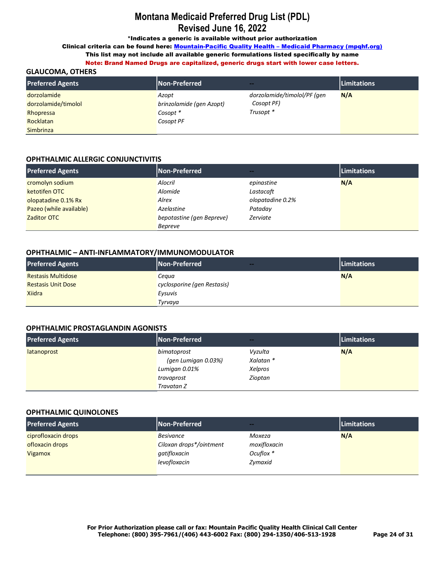\*Indicates a generic is available without prior authorization

Clinical criteria can be found here: Mountain-Pacific Quality Health - Medicaid Pharmacy (mpqhf.org)

This list may not include all available generic formulations listed specifically by name Note: Brand Named Drugs are capitalized, generic drugs start with lower case letters.

## **GLAUCOMA, OTHERS**

| <b>Preferred Agents</b> | Non-Preferred            | <b>Service</b>              | <b>Limitations</b> |  |
|-------------------------|--------------------------|-----------------------------|--------------------|--|
| dorzolamide             | Azopt                    | dorzolamide/timolol/PF (gen | N/A                |  |
| dorzolamide/timolol     | brinzolamide (gen Azopt) | Cosopt PF)                  |                    |  |
| Rhopressa               | Cosopt *                 | Trusopt *                   |                    |  |
| Rocklatan               | Cosopt PF                |                             |                    |  |
| <b>Simbrinza</b>        |                          |                             |                    |  |

## **OPHTHALMIC ALLERGIC CONJUNCTIVITIS**

| <b>Preferred Agents</b> | Non-Preferred             | --               | <b>Limitations</b> |
|-------------------------|---------------------------|------------------|--------------------|
| cromolyn sodium         | Alocril                   | epinastine       | N/A                |
| ketotifen OTC           | Alomide                   | Lastacaft        |                    |
| olopatadine 0.1% Rx     | Alrex                     | olopatadine 0.2% |                    |
| Pazeo (while available) | Azelastine                | Pataday          |                    |
| Zaditor OTC             | bepotastine (gen Bepreve) | Zerviate         |                    |
|                         | Bepreve                   |                  |                    |

## OPHTHALMIC - ANTI-INFLAMMATORY/IMMUNOMODULATOR

| <b>Preferred Agents</b>   | <b>Non-Preferred</b><br>$-1$ | <b>Limitations</b> |
|---------------------------|------------------------------|--------------------|
| <b>Restasis Multidose</b> | Cegua                        | N/A                |
| <b>Restasis Unit Dose</b> | cyclosporine (gen Restasis)  |                    |
| <b>Xiidra</b>             | Eysuvis                      |                    |
|                           | Tyrvava                      |                    |

## **OPHTHALMIC PROSTAGLANDIN AGONISTS**

| <b>Preferred Agents</b> | Non-Preferred       | $-1$      | <b>Limitations</b> |
|-------------------------|---------------------|-----------|--------------------|
| latanoprost             | bimatoprost         | Vyzulta   | N/A                |
|                         | (gen Lumigan 0.03%) | Xalatan * |                    |
|                         | Lumigan 0.01%       | Xelpros   |                    |
|                         | travaprost          | Zioptan   |                    |
|                         | Travatan Z          |           |                    |

#### **OPHTHALMIC QUINOLONES**

| <b>Preferred Agents</b> | Non-Preferred           | $\sim$       | Limitations |
|-------------------------|-------------------------|--------------|-------------|
| ciprofloxacin drops     | <b>Besivance</b>        | Moxeza       | N/A         |
| ofloxacin drops         | Ciloxan drops*/ointment | moxifloxacin |             |
| Vigamox                 | qatifloxacin            | Ocuflox *    |             |
|                         | levofloxacin            | Zymaxid      |             |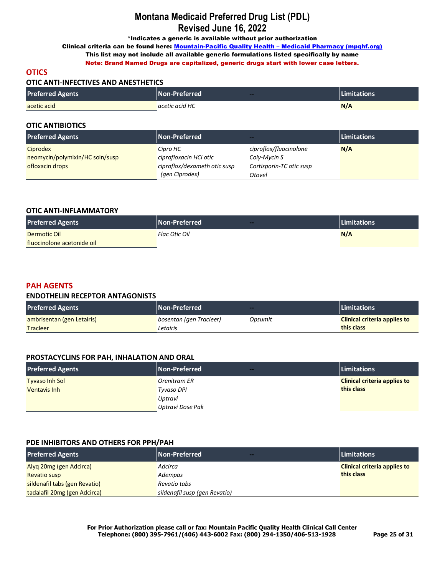\*Indicates a generic is available without prior authorization

Clinical criteria can be found here: Mountain-Pacific Quality Health - Medicaid Pharmacy (mpqhf.org)

This list may not include all available generic formulations listed specifically by name Note: Brand Named Drugs are capitalized, generic drugs start with lower case letters.

## **OTICS**

### **OTIC ANTI-INFECTIVES AND ANESTHETICS**

| <b>Preferred Agents</b> | <b>Non-Preferred</b> ا<br>$\sim$ | <b>Limitations</b> |
|-------------------------|----------------------------------|--------------------|
| acetic acid             | acetic acid HC                   | N/A                |

### **OTIC ANTIBIOTICS**

| <b>Preferred Agents</b>         | Non-Preferred                | ---                      | <b>Limitations</b> |
|---------------------------------|------------------------------|--------------------------|--------------------|
| Ciprodex                        | Cipro HC                     | ciproflox/fluocinolone   | N/A                |
| neomycin/polymixin/HC soln/susp | ciprofloxacin HCl otic       | Coly-Mycin S             |                    |
| ofloxacin drops                 | ciproflox/dexameth otic susp | Cortisporin-TC otic susp |                    |
|                                 | (gen Ciprodex)               | Otovel                   |                    |

### **OTIC ANTI-INFLAMMATORY**

| <b>Preferred Agents</b>    | <b>Non-Preferred</b><br>$-$ | <b>Limitations</b> |
|----------------------------|-----------------------------|--------------------|
| Dermotic Oil               | Flac Otic Oil               | N/A                |
| fluocinolone acetonide oil |                             |                    |

## **PAH AGENTS**

#### **ENDOTHELIN RECEPTOR ANTAGONISTS**

| <b>Preferred Agents</b>    | Non-Preferred           | $-$     | <b>Limitations</b>                  |
|----------------------------|-------------------------|---------|-------------------------------------|
| ambrisentan (gen Letairis) | bosentan (gen Tracleer) | Opsumit | <b>Clinical criteria applies to</b> |
| Tracleer                   | Letairis                |         | this class                          |

## **PROSTACYCLINS FOR PAH, INHALATION AND ORAL**

| <b>Preferred Agents</b> | Non-Preferred<br>$-$ | <b>Limitations</b>                  |
|-------------------------|----------------------|-------------------------------------|
| <b>Tyyaso Inh Sol</b>   | Orenitram ER         | <b>Clinical criteria applies to</b> |
| Ventavis Inh            | Tyvaso DPI           | this class                          |
|                         | Uptravi              |                                     |
|                         | Uptravi Dose Pak     |                                     |

#### **PDE INHIBITORS AND OTHERS FOR PPH/PAH**

| <b>Preferred Agents</b>       | <b>Non-Preferred</b><br>---   | <b>Limitations</b>                  |
|-------------------------------|-------------------------------|-------------------------------------|
| Alyq 20mg (gen Adcirca)       | Adcirca                       | <b>Clinical criteria applies to</b> |
| <b>Revatio susp</b>           | Adempas                       | this class                          |
| sildenafil tabs (gen Revatio) | Revatio tabs                  |                                     |
| tadalafil 20mg (gen Adcirca)  | sildenafil susp (gen Revatio) |                                     |

**For Prior Authorization please call or fax: Mountain Pacific Quality Health Clinical Call Center Telephone: (800) 395-7961/(406) 443-6002 Fax: (800) 294-1350/406-513-1928 Page 25 of 31**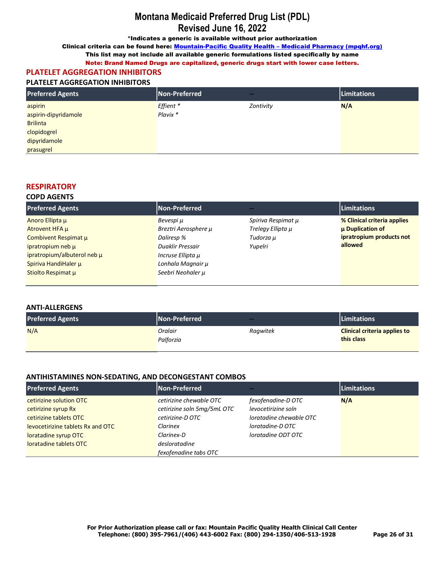\*Indicates a generic is available without prior authorization

Clinical criteria can be found here: Mountain-Pacific Quality Health - Medicaid Pharmacy (mpqhf.org)

This list may not include all available generic formulations listed specifically by name

Note: Brand Named Drugs are capitalized, generic drugs start with lower case letters.

#### PLATELET AGGREGATION INHIBITORS **PLATELET AGGREGATION INHIBITORS**

| <u>LATELI AUURLUATION INITIDITUM</u> |               |           |             |
|--------------------------------------|---------------|-----------|-------------|
| <b>Preferred Agents</b>              | Non-Preferred | $-1$      | Limitations |
| aspirin                              | Effient *     | Zontivity | N/A         |
| aspirin-dipyridamole                 | Plavix *      |           |             |
| <b>Brilinta</b>                      |               |           |             |
| clopidogrel                          |               |           |             |
| dipyridamole                         |               |           |             |
| prasugrel                            |               |           |             |

## **RESPIRATORY**

#### **COPD AGENTS**

| <b>Non-Preferred</b> |                    | <b>Limitations</b>          |
|----------------------|--------------------|-----------------------------|
| Bevespi u            | Spiriva Respimat μ | % Clinical criteria applies |
| Breztri Aerosphere µ | Trelegy Ellipta µ  | <b>µ Duplication of</b>     |
| Daliresp %           | Tudorza µ          | ipratropium products not    |
| Duaklir Pressair     | Yupelri            | allowed                     |
| Incruse Ellipta µ    |                    |                             |
| Lonhala Magnair µ    |                    |                             |
| Seebri Neohaler µ    |                    |                             |
|                      |                    |                             |

#### **ANTI-ALLERGENS**

| <b>Preferred Agents</b> | Non-Preferred        | $-$      | <b>Limitations</b>                                |
|-------------------------|----------------------|----------|---------------------------------------------------|
| N/A                     | Oralair<br>Palforzia | Ragwitek | <b>Clinical criteria applies to</b><br>this class |

### ANTIHISTAMINES NON-SEDATING, AND DECONGESTANT COMBOS

| <b>Preferred Agents</b>           | Non-Preferred               | --                      | <b>Limitations</b> |
|-----------------------------------|-----------------------------|-------------------------|--------------------|
| cetirizine solution OTC           | cetirizine chewable OTC     | fexofenadine-D OTC      | N/A                |
| cetirizine syrup Rx               | cetirizine soln 5mg/5mL OTC | levocetirizine soln     |                    |
| cetirizine tablets OTC            | cetirizine-D OTC            | loratadine chewable OTC |                    |
| levocetirizine tablets Rx and OTC | Clarinex                    | loratadine-DOTC         |                    |
| loratadine syrup OTC              | Clarinex-D                  | loratadine ODT OTC      |                    |
| loratadine tablets OTC            | desloratadine               |                         |                    |
|                                   | fexofenadine tabs OTC       |                         |                    |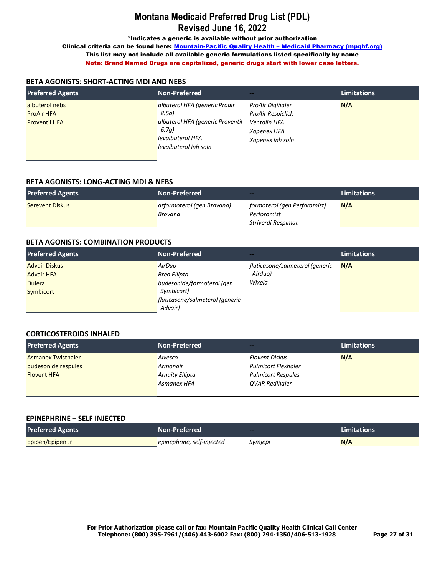\*Indicates a generic is available without prior authorization

Clinical criteria can be found here: Mountain-Pacific Quality Health - Medicaid Pharmacy (mpqhf.org) This list may not include all available generic formulations listed specifically by name Note: Brand Named Drugs are capitalized, generic drugs start with lower case letters.

### **BETA AGONISTS: SHORT-ACTING MDI AND NEBS**

| <b>Preferred Agents</b>                                     | Non-Preferred                                                                                                                    | --                                                                                              | <b>Limitations</b> |
|-------------------------------------------------------------|----------------------------------------------------------------------------------------------------------------------------------|-------------------------------------------------------------------------------------------------|--------------------|
| albuterol nebs<br><b>ProAir HFA</b><br><b>Proventil HFA</b> | albuterol HFA (generic Proair<br>8.5a)<br>albuterol HFA (generic Proventil<br>6.7a)<br>levalbuterol HFA<br>levalbuterol inh soln | ProAir Digihaler<br><b>ProAir Respiclick</b><br>Ventolin HFA<br>Xopenex HFA<br>Xopenex inh soln | N/A                |

### **BETA AGONISTS: LONG-ACTING MDI & NEBS**

| <b>Preferred Agents</b> | <b>Non-Preferred</b>       | $-1$                         | <b>Limitations</b> |
|-------------------------|----------------------------|------------------------------|--------------------|
| <b>Serevent Diskus</b>  | arformoterol (gen Brovana) | formoterol (gen Perforomist) | N/A                |
|                         | Brovana                    | Perforomist                  |                    |
|                         |                            | Striverdi Respimat           |                    |

#### **BETA AGONISTS: COMBINATION PRODUCTS**

| <b>Preferred Agents</b> | <b>Non-Preferred</b>            | --                              | <b>Limitations</b> |
|-------------------------|---------------------------------|---------------------------------|--------------------|
| <b>Advair Diskus</b>    | AirDuo                          | fluticasone/salmeterol (generic | N/A                |
| <b>Advair HFA</b>       | Breo Ellipta                    | Airduo)                         |                    |
| <b>Dulera</b>           | budesonide/formoterol (gen      | Wixela                          |                    |
| Symbicort               | Symbicort)                      |                                 |                    |
|                         | fluticasone/salmeterol (generic |                                 |                    |
|                         | Advair)                         |                                 |                    |

## **CORTICOSTEROIDS INHALED**

| <b>Preferred Agents</b>   | Non-Preferred          | $\sim$                     | <b>Limitations</b> |
|---------------------------|------------------------|----------------------------|--------------------|
| <b>Asmanex Twisthaler</b> | Alvesco                | <b>Flovent Diskus</b>      | N/A                |
| budesonide respules       | Armonair               | <b>Pulmicort Flexhaler</b> |                    |
| <b>Flovent HFA</b>        | <b>Arnuity Ellipta</b> | <b>Pulmicort Respules</b>  |                    |
|                           | Asmanex HFA            | <b>OVAR Redihaler</b>      |                    |

#### **EPINEPHRINE – SELF INJECTED**

| <b>Preferred Agents</b> | INon-Preferred \           | $-$     | <b>ILimitations</b> |
|-------------------------|----------------------------|---------|---------------------|
| Epipen/Epipen Jr        | epinephrine, self-injected | Symjepi | N/A                 |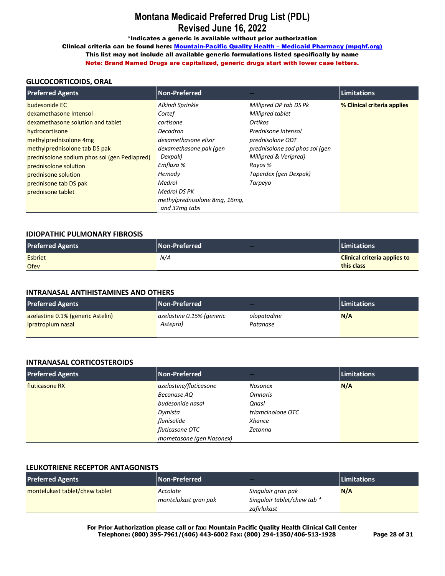\*Indicates a generic is available without prior authorization

Clinical criteria can be found here: Mountain-Pacific Quality Health - Medicaid Pharmacy (mpqhf.org) This list may not include all available generic formulations listed specifically by name Note: Brand Named Drugs are capitalized, generic drugs start with lower case letters.

### **GLUCOCORTICOIDS, ORAL**

| <b>Preferred Agents</b>                      | <b>Non-Preferred</b>          |                                | <b>Limitations</b>          |
|----------------------------------------------|-------------------------------|--------------------------------|-----------------------------|
| budesonide EC                                | Alkindi Sprinkle              | Millipred DP tab DS Pk         | % Clinical criteria applies |
| dexamethasone Intensol                       | Cortef                        | Millipred tablet               |                             |
| dexamethasone solution and tablet            | cortisone                     | Ortikos                        |                             |
| hydrocortisone                               | Decadron                      | Prednisone Intensol            |                             |
| methylprednisolone 4mg                       | dexamethasone elixir          | prednisolone ODT               |                             |
| methylprednisolone tab DS pak                | dexamethasone pak (gen        | prednisolone sod phos sol (gen |                             |
| prednisolone sodium phos sol (gen Pediapred) | Dexpak)                       | Millipred & Veripred)          |                             |
| prednisolone solution                        | Emflaza %                     | Rayos %                        |                             |
| prednisone solution                          | Hemady                        | Taperdex (gen Dexpak)          |                             |
| prednisone tab DS pak                        | Medrol                        | Tarpeyo                        |                             |
| prednisone tablet                            | Medrol DS PK                  |                                |                             |
|                                              | methylprednisolone 8mg, 16mg, |                                |                             |
|                                              | and 32mg tabs                 |                                |                             |

#### **IDIOPATHIC PULMONARY FIBROSIS**

| <b>Preferred Agents</b> | <b>Non-Preferred</b> | Limitations                         |
|-------------------------|----------------------|-------------------------------------|
| <b>Esbriet</b>          | N/A                  | <b>Clinical criteria applies to</b> |
| <b>Ofev</b>             |                      | this class                          |

#### **INTRANASAL ANTIHISTAMINES AND OTHERS**

| <b>Preferred Agents</b>           | Non-Preferred             | $-$         | <b>Limitations</b> |
|-----------------------------------|---------------------------|-------------|--------------------|
| azelastine 0.1% (generic Astelin) | azelastine 0.15% (generic | olopatadine | N/A                |
| ipratropium nasal                 | Astepro)                  | Patanase    |                    |
|                                   |                           |             |                    |

#### **INTRANASAL CORTICOSTEROIDS**

| <b>Preferred Agents</b> | <b>Non-Preferred</b>     | --                | <b>Limitations</b> |
|-------------------------|--------------------------|-------------------|--------------------|
| fluticasone RX          | azelastine/fluticasone   | <b>Nasonex</b>    | N/A                |
|                         | Beconase AQ              | <b>Omnaris</b>    |                    |
|                         | budesonide nasal         | <b>Onasl</b>      |                    |
|                         | Dymista                  | triamcinolone OTC |                    |
|                         | flunisolide              | Xhance            |                    |
|                         | fluticasone OTC          | Zetonna           |                    |
|                         | mometasone (gen Nasonex) |                   |                    |

#### **LEUKOTRIENE RECEPTOR ANTAGONISTS**

| <b>Preferred Agents</b>        | Non-Preferred                    | --                                                               | <b>Limitations</b> |
|--------------------------------|----------------------------------|------------------------------------------------------------------|--------------------|
| montelukast tablet/chew tablet | Accolate<br>montelukast gran pak | Singulair gran pak<br>Singulair tablet/chew tab *<br>zafirlukast | N/A                |

**For Prior Authorization please call or fax: Mountain Pacific Quality Health Clinical Call Center Telephone: (800) 395-7961/(406) 443-6002 Fax: (800) 294-1350/406-513-1928 Page 28 of 31**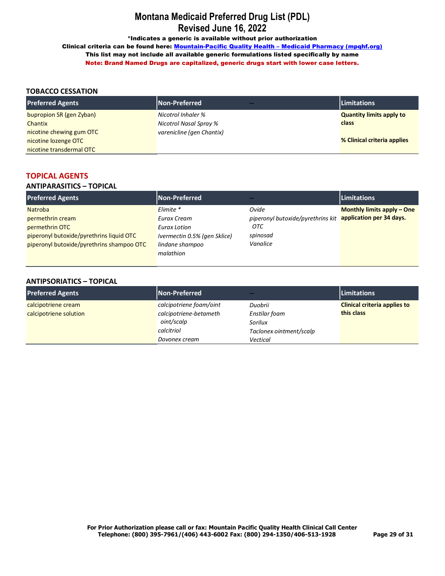\*Indicates a generic is available without prior authorization

Clinical criteria can be found here: Mountain-Pacific Quality Health - Medicaid Pharmacy (mpqhf.org) This list may not include all available generic formulations listed specifically by name Note: Brand Named Drugs are capitalized, generic drugs start with lower case letters.

## **TOBACCO CESSATION**

| <b>Preferred Agents</b>  | Non-Preferred<br><b><i><u>Property</u></i></b> | <b>Limitations</b>              |
|--------------------------|------------------------------------------------|---------------------------------|
| bupropion SR (gen Zyban) | Nicotrol Inhaler %                             | <b>Quantity limits apply to</b> |
| Chantix                  | Nicotrol Nasal Spray %                         | class                           |
| nicotine chewing gum OTC | varenicline (gen Chantix)                      |                                 |
| nicotine lozenge OTC     |                                                | % Clinical criteria applies     |
| nicotine transdermal OTC |                                                |                                 |

## **TOPICAL AGENTS**

## **ANTIPARASITICS – TOPICAL**

| <b>Preferred Agents</b>                   | Non-Preferred                |                                   | <b>Limitations</b>                |
|-------------------------------------------|------------------------------|-----------------------------------|-----------------------------------|
| <b>Natroba</b>                            | Elimite *                    | Ovide                             | <b>Monthly limits apply – One</b> |
| permethrin cream                          | Eurax Cream                  | piperonyl butoxide/pyrethrins kit | application per 34 days.          |
| permethrin OTC                            | Eurax Lotion                 | OTC                               |                                   |
| piperonyl butoxide/pyrethrins liquid OTC  | Ivermectin 0.5% (gen Sklice) | spinosad                          |                                   |
| piperonyl butoxide/pyrethrins shampoo OTC | lindane shampoo              | Vanalice                          |                                   |
|                                           | malathion                    |                                   |                                   |

#### **ANTIPSORIATICS – TOPICAL**

| <b>Preferred Agents</b> | Non-Preferred           | --                      | <b>Limitations</b>                  |
|-------------------------|-------------------------|-------------------------|-------------------------------------|
| calcipotriene cream     | calcipotriene foam/oint | Duobrii                 | <b>Clinical criteria applies to</b> |
| calcipotriene solution  | calcipotriene-betameth  | Enstilar foam           | this class                          |
|                         | oint/scalp              | Sorilux                 |                                     |
|                         | calcitriol              | Taclonex ointment/scalp |                                     |
|                         | Dovonex cream           | Vectical                |                                     |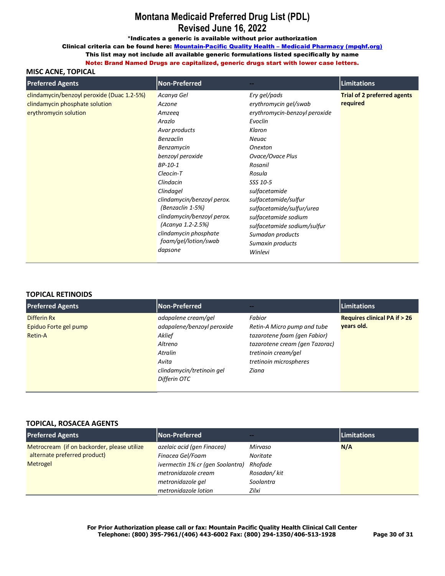\*Indicates a generic is available without prior authorization

Clinical criteria can be found here: Mountain-Pacific Quality Health - Medicaid Pharmacy (mpqhf.org)

This list may not include all available generic formulations listed specifically by name

Note: Brand Named Drugs are capitalized, generic drugs start with lower case letters.

## **MISC ACNE, TOPICAL**

| <b>Preferred Agents</b>                                                                               | Non-Preferred                                                                                                                                                                                                                                                                                                                      |                                                                                                                                                                                                                                                                                                                                                             | <b>Limitations</b>                             |
|-------------------------------------------------------------------------------------------------------|------------------------------------------------------------------------------------------------------------------------------------------------------------------------------------------------------------------------------------------------------------------------------------------------------------------------------------|-------------------------------------------------------------------------------------------------------------------------------------------------------------------------------------------------------------------------------------------------------------------------------------------------------------------------------------------------------------|------------------------------------------------|
| clindamycin/benzoyl peroxide (Duac 1.2-5%)<br>clindamycin phosphate solution<br>erythromycin solution | Acanya Gel<br>Aczone<br>Amzeeg<br>Arazlo<br>Avar products<br><b>Benzaclin</b><br>Benzamycin<br>benzoyl peroxide<br>BP-10-1<br>Cleocin-T<br>Clindacin<br>Clindagel<br>clindamycin/benzoyl perox.<br>(Benzaclin 1-5%)<br>clindamycin/benzoyl perox.<br>(Acanya 1.2-2.5%)<br>clindamycin phosphate<br>foam/gel/lotion/swab<br>dapsone | Ery gel/pads<br>erythromycin gel/swab<br>erythromycin-benzoyl peroxide<br>Evoclin<br>Klaron<br>Neuac<br><b>Onexton</b><br>Ovace/Ovace Plus<br>Rosanil<br>Rosula<br>SSS 10-5<br>sulfacetamide<br>sulfacetamide/sulfur<br>sulfacetamide/sulfur/urea<br>sulfacetamide sodium<br>sulfacetamide sodium/sulfur<br>Sumadan products<br>Sumaxin products<br>Winlevi | <b>Trial of 2 preferred agents</b><br>required |

#### **TOPICAL RETINOIDS**

| <b>Preferred Agents</b>                         | Non-Preferred                                                                                                                           |                                                                                                                                                                   | <b>Limitations</b>                                   |
|-------------------------------------------------|-----------------------------------------------------------------------------------------------------------------------------------------|-------------------------------------------------------------------------------------------------------------------------------------------------------------------|------------------------------------------------------|
| Differin Rx<br>Epiduo Forte gel pump<br>Retin-A | adapalene cream/gel<br>adapalene/benzoyl peroxide<br>Aklief<br>Altreno<br>Atralin<br>Avita<br>clindamycin/tretinoin gel<br>Differin OTC | Fabior<br>Retin-A Micro pump and tube<br>tazarotene foam (gen Fabior)<br>tazarotene cream (gen Tazorac)<br>tretinoin cream/gel<br>tretinoin microspheres<br>Ziana | <b>Requires clinical PA if &gt; 26</b><br>vears old. |

#### **TOPICAL, ROSACEA AGENTS**

| <b>Preferred Agents</b>                     | <b>Non-Preferred</b>             | --          | <b>Limitations</b> |
|---------------------------------------------|----------------------------------|-------------|--------------------|
| Metrocream (if on backorder, please utilize | azelaic acid (gen Finacea)       | Mirvaso     | N/A                |
| alternate preferred product)                | Finacea Gel/Foam                 | Noritate    |                    |
| Metrogel                                    | ivermectin 1% cr (gen Soolantra) | Rhofade     |                    |
|                                             | metronidazole cream              | Rosadan/kit |                    |
|                                             | metronidazole gel                | Soolantra   |                    |
|                                             | metronidazole lotion             | Zilxi       |                    |

**For Prior Authorization please call or fax: Mountain Pacific Quality Health Clinical Call Center Telephone: (800) 395-7961/(406) 443-6002 Fax: (800) 294-1350/406-513-1928 Page 30 of 31**